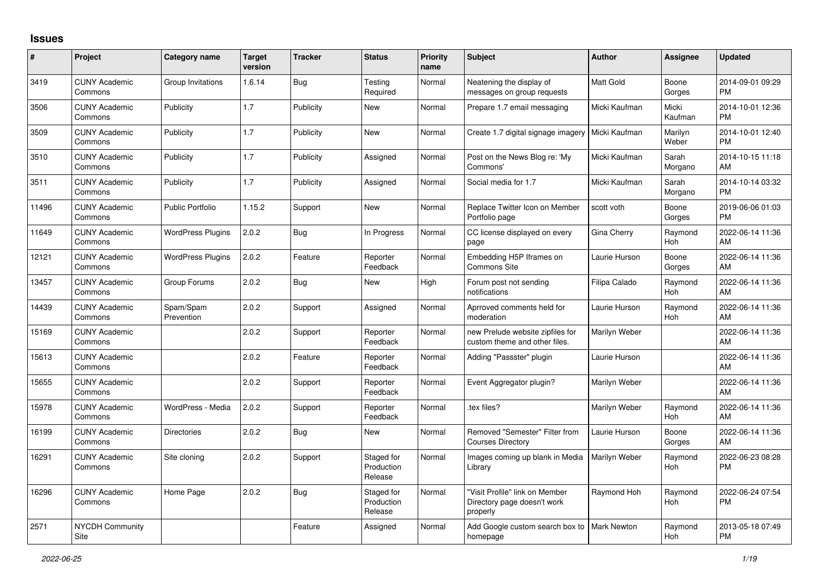## **Issues**

| #     | Project                         | <b>Category name</b>     | <b>Target</b><br>version | <b>Tracker</b> | <b>Status</b>                       | <b>Priority</b><br>name | <b>Subject</b>                                                            | <b>Author</b>      | <b>Assignee</b>  | <b>Updated</b>                |
|-------|---------------------------------|--------------------------|--------------------------|----------------|-------------------------------------|-------------------------|---------------------------------------------------------------------------|--------------------|------------------|-------------------------------|
| 3419  | <b>CUNY Academic</b><br>Commons | Group Invitations        | 1.6.14                   | Bug            | Testing<br>Required                 | Normal                  | Neatening the display of<br>messages on group requests                    | <b>Matt Gold</b>   | Boone<br>Gorges  | 2014-09-01 09:29<br><b>PM</b> |
| 3506  | <b>CUNY Academic</b><br>Commons | Publicity                | 1.7                      | Publicity      | New                                 | Normal                  | Prepare 1.7 email messaging                                               | Micki Kaufman      | Micki<br>Kaufman | 2014-10-01 12:36<br><b>PM</b> |
| 3509  | <b>CUNY Academic</b><br>Commons | Publicity                | 1.7                      | Publicity      | <b>New</b>                          | Normal                  | Create 1.7 digital signage imagery                                        | Micki Kaufman      | Marilyn<br>Weber | 2014-10-01 12:40<br><b>PM</b> |
| 3510  | <b>CUNY Academic</b><br>Commons | Publicity                | 1.7                      | Publicity      | Assigned                            | Normal                  | Post on the News Blog re: 'My<br>Commons'                                 | Micki Kaufman      | Sarah<br>Morgano | 2014-10-15 11:18<br>AM        |
| 3511  | <b>CUNY Academic</b><br>Commons | Publicity                | 1.7                      | Publicity      | Assigned                            | Normal                  | Social media for 1.7                                                      | Micki Kaufman      | Sarah<br>Morgano | 2014-10-14 03:32<br><b>PM</b> |
| 11496 | <b>CUNY Academic</b><br>Commons | <b>Public Portfolio</b>  | 1.15.2                   | Support        | New                                 | Normal                  | Replace Twitter Icon on Member<br>Portfolio page                          | scott voth         | Boone<br>Gorges  | 2019-06-06 01:03<br><b>PM</b> |
| 11649 | <b>CUNY Academic</b><br>Commons | <b>WordPress Plugins</b> | 2.0.2                    | <b>Bug</b>     | In Progress                         | Normal                  | CC license displayed on every<br>page                                     | Gina Cherry        | Raymond<br>Hoh   | 2022-06-14 11:36<br>AM        |
| 12121 | <b>CUNY Academic</b><br>Commons | <b>WordPress Plugins</b> | 2.0.2                    | Feature        | Reporter<br>Feedback                | Normal                  | Embedding H5P Iframes on<br>Commons Site                                  | Laurie Hurson      | Boone<br>Gorges  | 2022-06-14 11:36<br>AM        |
| 13457 | <b>CUNY Academic</b><br>Commons | Group Forums             | 2.0.2                    | Bug            | New                                 | High                    | Forum post not sending<br>notifications                                   | Filipa Calado      | Raymond<br>Hoh   | 2022-06-14 11:36<br>AM        |
| 14439 | <b>CUNY Academic</b><br>Commons | Spam/Spam<br>Prevention  | 2.0.2                    | Support        | Assigned                            | Normal                  | Aprroved comments held for<br>moderation                                  | Laurie Hurson      | Raymond<br>Hoh   | 2022-06-14 11:36<br>AM        |
| 15169 | <b>CUNY Academic</b><br>Commons |                          | 2.0.2                    | Support        | Reporter<br>Feedback                | Normal                  | new Prelude website zipfiles for<br>custom theme and other files.         | Marilyn Weber      |                  | 2022-06-14 11:36<br>AM        |
| 15613 | <b>CUNY Academic</b><br>Commons |                          | 2.0.2                    | Feature        | Reporter<br>Feedback                | Normal                  | Adding "Passster" plugin                                                  | Laurie Hurson      |                  | 2022-06-14 11:36<br>AM        |
| 15655 | <b>CUNY Academic</b><br>Commons |                          | 2.0.2                    | Support        | Reporter<br>Feedback                | Normal                  | Event Aggregator plugin?                                                  | Marilyn Weber      |                  | 2022-06-14 11:36<br>AM        |
| 15978 | <b>CUNY Academic</b><br>Commons | WordPress - Media        | 2.0.2                    | Support        | Reporter<br>Feedback                | Normal                  | tex files?                                                                | Marilyn Weber      | Raymond<br>Hoh   | 2022-06-14 11:36<br>AM        |
| 16199 | <b>CUNY Academic</b><br>Commons | <b>Directories</b>       | 2.0.2                    | Bug            | New                                 | Normal                  | Removed "Semester" Filter from<br><b>Courses Directory</b>                | Laurie Hurson      | Boone<br>Gorges  | 2022-06-14 11:36<br>AM        |
| 16291 | <b>CUNY Academic</b><br>Commons | Site cloning             | 2.0.2                    | Support        | Staged for<br>Production<br>Release | Normal                  | Images coming up blank in Media<br>Library                                | Marilyn Weber      | Raymond<br>Hoh   | 2022-06-23 08:28<br><b>PM</b> |
| 16296 | <b>CUNY Academic</b><br>Commons | Home Page                | 2.0.2                    | <b>Bug</b>     | Staged for<br>Production<br>Release | Normal                  | "Visit Profile" link on Member<br>Directory page doesn't work<br>properly | Raymond Hoh        | Raymond<br>Hoh   | 2022-06-24 07:54<br><b>PM</b> |
| 2571  | <b>NYCDH Community</b><br>Site  |                          |                          | Feature        | Assigned                            | Normal                  | Add Google custom search box to<br>homepage                               | <b>Mark Newton</b> | Raymond<br>Hoh   | 2013-05-18 07:49<br>PM        |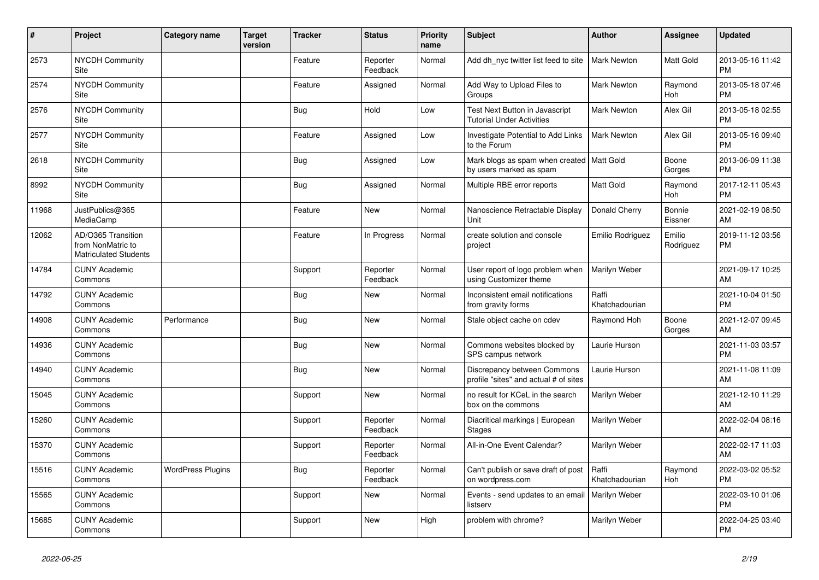| #     | Project                                                                 | <b>Category name</b>     | <b>Target</b><br>version | <b>Tracker</b> | <b>Status</b>        | <b>Priority</b><br>name | <b>Subject</b>                                                         | Author                  | <b>Assignee</b>     | <b>Updated</b>                |
|-------|-------------------------------------------------------------------------|--------------------------|--------------------------|----------------|----------------------|-------------------------|------------------------------------------------------------------------|-------------------------|---------------------|-------------------------------|
| 2573  | <b>NYCDH Community</b><br>Site                                          |                          |                          | Feature        | Reporter<br>Feedback | Normal                  | Add dh nyc twitter list feed to site                                   | <b>Mark Newton</b>      | Matt Gold           | 2013-05-16 11:42<br><b>PM</b> |
| 2574  | <b>NYCDH Community</b><br>Site                                          |                          |                          | Feature        | Assigned             | Normal                  | Add Way to Upload Files to<br>Groups                                   | <b>Mark Newton</b>      | Raymond<br>Hoh      | 2013-05-18 07:46<br><b>PM</b> |
| 2576  | NYCDH Community<br>Site                                                 |                          |                          | <b>Bug</b>     | Hold                 | Low                     | Test Next Button in Javascript<br><b>Tutorial Under Activities</b>     | Mark Newton             | Alex Gil            | 2013-05-18 02:55<br><b>PM</b> |
| 2577  | NYCDH Community<br>Site                                                 |                          |                          | Feature        | Assigned             | Low                     | Investigate Potential to Add Links<br>to the Forum                     | <b>Mark Newton</b>      | Alex Gil            | 2013-05-16 09:40<br><b>PM</b> |
| 2618  | <b>NYCDH Community</b><br>Site                                          |                          |                          | <b>Bug</b>     | Assigned             | Low                     | Mark blogs as spam when created   Matt Gold<br>by users marked as spam |                         | Boone<br>Gorges     | 2013-06-09 11:38<br><b>PM</b> |
| 8992  | NYCDH Community<br>Site                                                 |                          |                          | <b>Bug</b>     | Assigned             | Normal                  | Multiple RBE error reports                                             | Matt Gold               | Raymond<br>Hoh      | 2017-12-11 05:43<br><b>PM</b> |
| 11968 | JustPublics@365<br>MediaCamp                                            |                          |                          | Feature        | <b>New</b>           | Normal                  | Nanoscience Retractable Display<br>Unit                                | Donald Cherry           | Bonnie<br>Eissner   | 2021-02-19 08:50<br>AM        |
| 12062 | AD/O365 Transition<br>from NonMatric to<br><b>Matriculated Students</b> |                          |                          | Feature        | In Progress          | Normal                  | create solution and console<br>project                                 | Emilio Rodriguez        | Emilio<br>Rodriguez | 2019-11-12 03:56<br><b>PM</b> |
| 14784 | <b>CUNY Academic</b><br>Commons                                         |                          |                          | Support        | Reporter<br>Feedback | Normal                  | User report of logo problem when<br>using Customizer theme             | Marilyn Weber           |                     | 2021-09-17 10:25<br>AM        |
| 14792 | <b>CUNY Academic</b><br>Commons                                         |                          |                          | <b>Bug</b>     | <b>New</b>           | Normal                  | Inconsistent email notifications<br>from gravity forms                 | Raffi<br>Khatchadourian |                     | 2021-10-04 01:50<br><b>PM</b> |
| 14908 | <b>CUNY Academic</b><br>Commons                                         | Performance              |                          | Bug            | New                  | Normal                  | Stale object cache on cdev                                             | Raymond Hoh             | Boone<br>Gorges     | 2021-12-07 09:45<br>AM        |
| 14936 | <b>CUNY Academic</b><br>Commons                                         |                          |                          | <b>Bug</b>     | <b>New</b>           | Normal                  | Commons websites blocked by<br>SPS campus network                      | Laurie Hurson           |                     | 2021-11-03 03:57<br><b>PM</b> |
| 14940 | <b>CUNY Academic</b><br>Commons                                         |                          |                          | <b>Bug</b>     | <b>New</b>           | Normal                  | Discrepancy between Commons<br>profile "sites" and actual # of sites   | Laurie Hurson           |                     | 2021-11-08 11:09<br>AM        |
| 15045 | <b>CUNY Academic</b><br>Commons                                         |                          |                          | Support        | New                  | Normal                  | no result for KCeL in the search<br>box on the commons                 | Marilyn Weber           |                     | 2021-12-10 11:29<br>AM        |
| 15260 | <b>CUNY Academic</b><br>Commons                                         |                          |                          | Support        | Reporter<br>Feedback | Normal                  | Diacritical markings   European<br><b>Stages</b>                       | Marilyn Weber           |                     | 2022-02-04 08:16<br>AM        |
| 15370 | <b>CUNY Academic</b><br>Commons                                         |                          |                          | Support        | Reporter<br>Feedback | Normal                  | All-in-One Event Calendar?                                             | Marilyn Weber           |                     | 2022-02-17 11:03<br>AM        |
| 15516 | <b>CUNY Academic</b><br>Commons                                         | <b>WordPress Plugins</b> |                          | Bug            | Reporter<br>Feedback | Normal                  | Can't publish or save draft of post<br>on wordpress.com                | Raffi<br>Khatchadourian | Raymond<br>Hoh      | 2022-03-02 05:52<br><b>PM</b> |
| 15565 | <b>CUNY Academic</b><br>Commons                                         |                          |                          | Support        | New                  | Normal                  | Events - send updates to an email<br>listserv                          | <b>Marilyn Weber</b>    |                     | 2022-03-10 01:06<br><b>PM</b> |
| 15685 | <b>CUNY Academic</b><br>Commons                                         |                          |                          | Support        | <b>New</b>           | High                    | problem with chrome?                                                   | Marilyn Weber           |                     | 2022-04-25 03:40<br><b>PM</b> |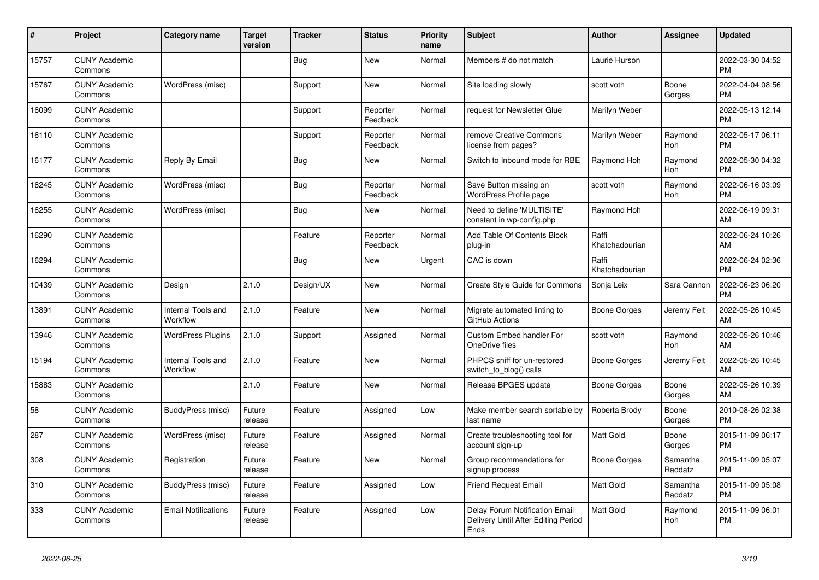| #     | Project                         | <b>Category name</b>           | <b>Target</b><br>version | <b>Tracker</b> | <b>Status</b>        | <b>Priority</b><br>name | <b>Subject</b>                                                                | <b>Author</b>           | <b>Assignee</b>       | <b>Updated</b>                |
|-------|---------------------------------|--------------------------------|--------------------------|----------------|----------------------|-------------------------|-------------------------------------------------------------------------------|-------------------------|-----------------------|-------------------------------|
| 15757 | <b>CUNY Academic</b><br>Commons |                                |                          | <b>Bug</b>     | <b>New</b>           | Normal                  | Members # do not match                                                        | Laurie Hurson           |                       | 2022-03-30 04:52<br><b>PM</b> |
| 15767 | <b>CUNY Academic</b><br>Commons | WordPress (misc)               |                          | Support        | <b>New</b>           | Normal                  | Site loading slowly                                                           | scott voth              | Boone<br>Gorges       | 2022-04-04 08:56<br><b>PM</b> |
| 16099 | <b>CUNY Academic</b><br>Commons |                                |                          | Support        | Reporter<br>Feedback | Normal                  | request for Newsletter Glue                                                   | Marilyn Weber           |                       | 2022-05-13 12:14<br><b>PM</b> |
| 16110 | <b>CUNY Academic</b><br>Commons |                                |                          | Support        | Reporter<br>Feedback | Normal                  | remove Creative Commons<br>license from pages?                                | Marilyn Weber           | Raymond<br>Hoh        | 2022-05-17 06:11<br><b>PM</b> |
| 16177 | <b>CUNY Academic</b><br>Commons | Reply By Email                 |                          | Bug            | <b>New</b>           | Normal                  | Switch to Inbound mode for RBE                                                | Raymond Hoh             | Raymond<br>Hoh        | 2022-05-30 04:32<br><b>PM</b> |
| 16245 | <b>CUNY Academic</b><br>Commons | WordPress (misc)               |                          | <b>Bug</b>     | Reporter<br>Feedback | Normal                  | Save Button missing on<br>WordPress Profile page                              | scott voth              | Raymond<br><b>Hoh</b> | 2022-06-16 03:09<br><b>PM</b> |
| 16255 | <b>CUNY Academic</b><br>Commons | WordPress (misc)               |                          | Bug            | <b>New</b>           | Normal                  | Need to define 'MULTISITE'<br>constant in wp-config.php                       | Raymond Hoh             |                       | 2022-06-19 09:31<br>AM        |
| 16290 | <b>CUNY Academic</b><br>Commons |                                |                          | Feature        | Reporter<br>Feedback | Normal                  | Add Table Of Contents Block<br>plug-in                                        | Raffi<br>Khatchadourian |                       | 2022-06-24 10:26<br>AM        |
| 16294 | <b>CUNY Academic</b><br>Commons |                                |                          | <b>Bug</b>     | <b>New</b>           | Urgent                  | CAC is down                                                                   | Raffi<br>Khatchadourian |                       | 2022-06-24 02:36<br><b>PM</b> |
| 10439 | <b>CUNY Academic</b><br>Commons | Design                         | 2.1.0                    | Design/UX      | <b>New</b>           | Normal                  | Create Style Guide for Commons                                                | Sonja Leix              | Sara Cannon           | 2022-06-23 06:20<br><b>PM</b> |
| 13891 | <b>CUNY Academic</b><br>Commons | Internal Tools and<br>Workflow | 2.1.0                    | Feature        | <b>New</b>           | Normal                  | Migrate automated linting to<br>GitHub Actions                                | Boone Gorges            | Jeremy Felt           | 2022-05-26 10:45<br>AM        |
| 13946 | <b>CUNY Academic</b><br>Commons | <b>WordPress Plugins</b>       | 2.1.0                    | Support        | Assigned             | Normal                  | <b>Custom Embed handler For</b><br>OneDrive files                             | scott voth              | Raymond<br><b>Hoh</b> | 2022-05-26 10:46<br>AM        |
| 15194 | <b>CUNY Academic</b><br>Commons | Internal Tools and<br>Workflow | 2.1.0                    | Feature        | <b>New</b>           | Normal                  | PHPCS sniff for un-restored<br>switch_to_blog() calls                         | Boone Gorges            | Jeremy Felt           | 2022-05-26 10:45<br>AM        |
| 15883 | <b>CUNY Academic</b><br>Commons |                                | 2.1.0                    | Feature        | New                  | Normal                  | Release BPGES update                                                          | Boone Gorges            | Boone<br>Gorges       | 2022-05-26 10:39<br>AM        |
| 58    | <b>CUNY Academic</b><br>Commons | BuddyPress (misc)              | Future<br>release        | Feature        | Assigned             | Low                     | Make member search sortable by<br>last name                                   | Roberta Brody           | Boone<br>Gorges       | 2010-08-26 02:38<br><b>PM</b> |
| 287   | <b>CUNY Academic</b><br>Commons | WordPress (misc)               | Future<br>release        | Feature        | Assigned             | Normal                  | Create troubleshooting tool for<br>account sign-up                            | Matt Gold               | Boone<br>Gorges       | 2015-11-09 06:17<br><b>PM</b> |
| 308   | <b>CUNY Academic</b><br>Commons | Registration                   | Future<br>release        | Feature        | <b>New</b>           | Normal                  | Group recommendations for<br>signup process                                   | Boone Gorges            | Samantha<br>Raddatz   | 2015-11-09 05:07<br><b>PM</b> |
| 310   | <b>CUNY Academic</b><br>Commons | BuddyPress (misc)              | Future<br>release        | Feature        | Assigned             | Low                     | Friend Request Email                                                          | Matt Gold               | Samantha<br>Raddatz   | 2015-11-09 05:08<br><b>PM</b> |
| 333   | <b>CUNY Academic</b><br>Commons | <b>Email Notifications</b>     | Future<br>release        | Feature        | Assigned             | Low                     | Delay Forum Notification Email<br>Delivery Until After Editing Period<br>Ends | <b>Matt Gold</b>        | Raymond<br>Hoh        | 2015-11-09 06:01<br><b>PM</b> |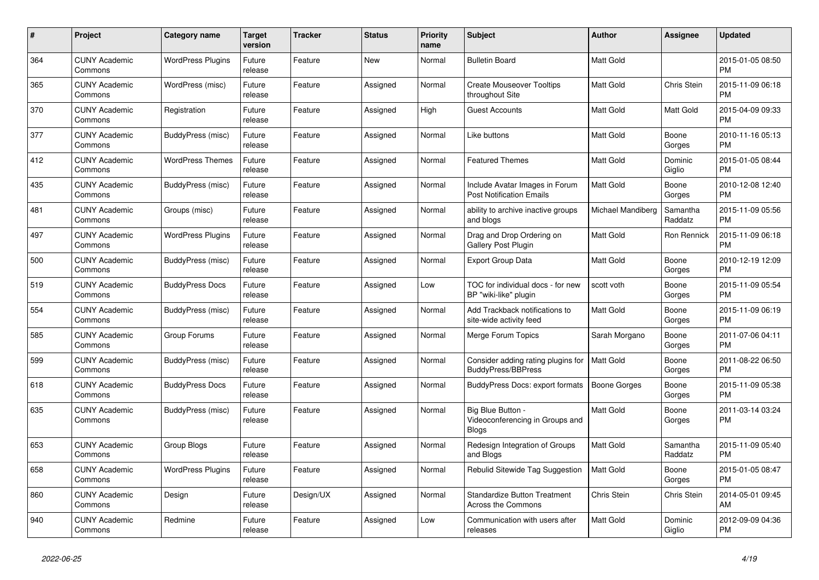| #   | Project                         | Category name            | Target<br>version | <b>Tracker</b> | <b>Status</b> | <b>Priority</b><br>name | <b>Subject</b>                                                       | <b>Author</b>       | Assignee            | <b>Updated</b>                |
|-----|---------------------------------|--------------------------|-------------------|----------------|---------------|-------------------------|----------------------------------------------------------------------|---------------------|---------------------|-------------------------------|
| 364 | <b>CUNY Academic</b><br>Commons | <b>WordPress Plugins</b> | Future<br>release | Feature        | <b>New</b>    | Normal                  | <b>Bulletin Board</b>                                                | <b>Matt Gold</b>    |                     | 2015-01-05 08:50<br><b>PM</b> |
| 365 | <b>CUNY Academic</b><br>Commons | WordPress (misc)         | Future<br>release | Feature        | Assigned      | Normal                  | <b>Create Mouseover Tooltips</b><br>throughout Site                  | <b>Matt Gold</b>    | Chris Stein         | 2015-11-09 06:18<br><b>PM</b> |
| 370 | <b>CUNY Academic</b><br>Commons | Registration             | Future<br>release | Feature        | Assigned      | High                    | Guest Accounts                                                       | <b>Matt Gold</b>    | Matt Gold           | 2015-04-09 09:33<br><b>PM</b> |
| 377 | <b>CUNY Academic</b><br>Commons | BuddyPress (misc)        | Future<br>release | Feature        | Assigned      | Normal                  | Like buttons                                                         | <b>Matt Gold</b>    | Boone<br>Gorges     | 2010-11-16 05:13<br><b>PM</b> |
| 412 | <b>CUNY Academic</b><br>Commons | <b>WordPress Themes</b>  | Future<br>release | Feature        | Assigned      | Normal                  | <b>Featured Themes</b>                                               | <b>Matt Gold</b>    | Dominic<br>Giglio   | 2015-01-05 08:44<br><b>PM</b> |
| 435 | <b>CUNY Academic</b><br>Commons | BuddyPress (misc)        | Future<br>release | Feature        | Assigned      | Normal                  | Include Avatar Images in Forum<br><b>Post Notification Emails</b>    | <b>Matt Gold</b>    | Boone<br>Gorges     | 2010-12-08 12:40<br><b>PM</b> |
| 481 | <b>CUNY Academic</b><br>Commons | Groups (misc)            | Future<br>release | Feature        | Assigned      | Normal                  | ability to archive inactive groups<br>and blogs                      | Michael Mandiberg   | Samantha<br>Raddatz | 2015-11-09 05:56<br><b>PM</b> |
| 497 | <b>CUNY Academic</b><br>Commons | <b>WordPress Plugins</b> | Future<br>release | Feature        | Assigned      | Normal                  | Drag and Drop Ordering on<br>Gallery Post Plugin                     | <b>Matt Gold</b>    | Ron Rennick         | 2015-11-09 06:18<br><b>PM</b> |
| 500 | <b>CUNY Academic</b><br>Commons | BuddyPress (misc)        | Future<br>release | Feature        | Assigned      | Normal                  | <b>Export Group Data</b>                                             | Matt Gold           | Boone<br>Gorges     | 2010-12-19 12:09<br><b>PM</b> |
| 519 | <b>CUNY Academic</b><br>Commons | <b>BuddyPress Docs</b>   | Future<br>release | Feature        | Assigned      | Low                     | TOC for individual docs - for new<br>BP "wiki-like" plugin           | scott voth          | Boone<br>Gorges     | 2015-11-09 05:54<br><b>PM</b> |
| 554 | <b>CUNY Academic</b><br>Commons | BuddyPress (misc)        | Future<br>release | Feature        | Assigned      | Normal                  | Add Trackback notifications to<br>site-wide activity feed            | <b>Matt Gold</b>    | Boone<br>Gorges     | 2015-11-09 06:19<br><b>PM</b> |
| 585 | <b>CUNY Academic</b><br>Commons | Group Forums             | Future<br>release | Feature        | Assigned      | Normal                  | Merge Forum Topics                                                   | Sarah Morgano       | Boone<br>Gorges     | 2011-07-06 04:11<br><b>PM</b> |
| 599 | <b>CUNY Academic</b><br>Commons | BuddyPress (misc)        | Future<br>release | Feature        | Assigned      | Normal                  | Consider adding rating plugins for<br>BuddyPress/BBPress             | <b>Matt Gold</b>    | Boone<br>Gorges     | 2011-08-22 06:50<br><b>PM</b> |
| 618 | <b>CUNY Academic</b><br>Commons | <b>BuddyPress Docs</b>   | Future<br>release | Feature        | Assigned      | Normal                  | BuddyPress Docs: export formats                                      | <b>Boone Gorges</b> | Boone<br>Gorges     | 2015-11-09 05:38<br><b>PM</b> |
| 635 | <b>CUNY Academic</b><br>Commons | BuddyPress (misc)        | Future<br>release | Feature        | Assigned      | Normal                  | Big Blue Button -<br>Videoconferencing in Groups and<br><b>Blogs</b> | <b>Matt Gold</b>    | Boone<br>Gorges     | 2011-03-14 03:24<br>PM        |
| 653 | <b>CUNY Academic</b><br>Commons | Group Blogs              | Future<br>release | Feature        | Assigned      | Normal                  | Redesign Integration of Groups<br>and Blogs                          | <b>Matt Gold</b>    | Samantha<br>Raddatz | 2015-11-09 05:40<br><b>PM</b> |
| 658 | <b>CUNY Academic</b><br>Commons | <b>WordPress Plugins</b> | Future<br>release | Feature        | Assigned      | Normal                  | Rebulid Sitewide Tag Suggestion                                      | <b>Matt Gold</b>    | Boone<br>Gorges     | 2015-01-05 08:47<br><b>PM</b> |
| 860 | <b>CUNY Academic</b><br>Commons | Design                   | Future<br>release | Design/UX      | Assigned      | Normal                  | <b>Standardize Button Treatment</b><br>Across the Commons            | Chris Stein         | Chris Stein         | 2014-05-01 09:45<br>AM        |
| 940 | <b>CUNY Academic</b><br>Commons | Redmine                  | Future<br>release | Feature        | Assigned      | Low                     | Communication with users after<br>releases                           | <b>Matt Gold</b>    | Dominic<br>Giglio   | 2012-09-09 04:36<br><b>PM</b> |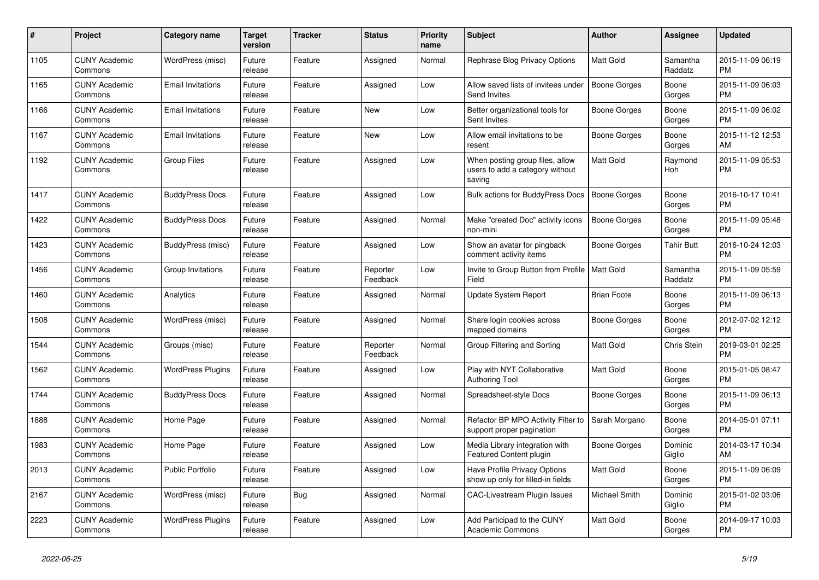| #    | <b>Project</b>                  | <b>Category name</b>     | Target<br>version | Tracker | <b>Status</b>        | <b>Priority</b><br>name | <b>Subject</b>                                                               | <b>Author</b>       | Assignee            | <b>Updated</b>                |
|------|---------------------------------|--------------------------|-------------------|---------|----------------------|-------------------------|------------------------------------------------------------------------------|---------------------|---------------------|-------------------------------|
| 1105 | <b>CUNY Academic</b><br>Commons | WordPress (misc)         | Future<br>release | Feature | Assigned             | Normal                  | Rephrase Blog Privacy Options                                                | <b>Matt Gold</b>    | Samantha<br>Raddatz | 2015-11-09 06:19<br><b>PM</b> |
| 1165 | <b>CUNY Academic</b><br>Commons | <b>Email Invitations</b> | Future<br>release | Feature | Assigned             | Low                     | Allow saved lists of invitees under<br>Send Invites                          | <b>Boone Gorges</b> | Boone<br>Gorges     | 2015-11-09 06:03<br><b>PM</b> |
| 1166 | <b>CUNY Academic</b><br>Commons | <b>Email Invitations</b> | Future<br>release | Feature | New                  | Low                     | Better organizational tools for<br>Sent Invites                              | Boone Gorges        | Boone<br>Gorges     | 2015-11-09 06:02<br><b>PM</b> |
| 1167 | <b>CUNY Academic</b><br>Commons | <b>Email Invitations</b> | Future<br>release | Feature | <b>New</b>           | Low                     | Allow email invitations to be<br>resent                                      | Boone Gorges        | Boone<br>Gorges     | 2015-11-12 12:53<br>AM        |
| 1192 | <b>CUNY Academic</b><br>Commons | <b>Group Files</b>       | Future<br>release | Feature | Assigned             | Low                     | When posting group files, allow<br>users to add a category without<br>saving | Matt Gold           | Raymond<br>Hoh      | 2015-11-09 05:53<br><b>PM</b> |
| 1417 | <b>CUNY Academic</b><br>Commons | <b>BuddyPress Docs</b>   | Future<br>release | Feature | Assigned             | Low                     | Bulk actions for BuddyPress Docs                                             | <b>Boone Gorges</b> | Boone<br>Gorges     | 2016-10-17 10:41<br><b>PM</b> |
| 1422 | <b>CUNY Academic</b><br>Commons | <b>BuddyPress Docs</b>   | Future<br>release | Feature | Assigned             | Normal                  | Make "created Doc" activity icons<br>non-mini                                | Boone Gorges        | Boone<br>Gorges     | 2015-11-09 05:48<br><b>PM</b> |
| 1423 | <b>CUNY Academic</b><br>Commons | BuddyPress (misc)        | Future<br>release | Feature | Assigned             | Low                     | Show an avatar for pingback<br>comment activity items                        | Boone Gorges        | <b>Tahir Butt</b>   | 2016-10-24 12:03<br><b>PM</b> |
| 1456 | <b>CUNY Academic</b><br>Commons | Group Invitations        | Future<br>release | Feature | Reporter<br>Feedback | Low                     | Invite to Group Button from Profile   Matt Gold<br>Field                     |                     | Samantha<br>Raddatz | 2015-11-09 05:59<br><b>PM</b> |
| 1460 | <b>CUNY Academic</b><br>Commons | Analytics                | Future<br>release | Feature | Assigned             | Normal                  | Update System Report                                                         | <b>Brian Foote</b>  | Boone<br>Gorges     | 2015-11-09 06:13<br><b>PM</b> |
| 1508 | <b>CUNY Academic</b><br>Commons | WordPress (misc)         | Future<br>release | Feature | Assigned             | Normal                  | Share login cookies across<br>mapped domains                                 | Boone Gorges        | Boone<br>Gorges     | 2012-07-02 12:12<br><b>PM</b> |
| 1544 | <b>CUNY Academic</b><br>Commons | Groups (misc)            | Future<br>release | Feature | Reporter<br>Feedback | Normal                  | Group Filtering and Sorting                                                  | Matt Gold           | Chris Stein         | 2019-03-01 02:25<br><b>PM</b> |
| 1562 | <b>CUNY Academic</b><br>Commons | <b>WordPress Plugins</b> | Future<br>release | Feature | Assigned             | Low                     | Play with NYT Collaborative<br><b>Authoring Tool</b>                         | Matt Gold           | Boone<br>Gorges     | 2015-01-05 08:47<br><b>PM</b> |
| 1744 | <b>CUNY Academic</b><br>Commons | <b>BuddyPress Docs</b>   | Future<br>release | Feature | Assigned             | Normal                  | Spreadsheet-style Docs                                                       | Boone Gorges        | Boone<br>Gorges     | 2015-11-09 06:13<br><b>PM</b> |
| 1888 | <b>CUNY Academic</b><br>Commons | Home Page                | Future<br>release | Feature | Assigned             | Normal                  | Refactor BP MPO Activity Filter to<br>support proper pagination              | Sarah Morgano       | Boone<br>Gorges     | 2014-05-01 07:11<br><b>PM</b> |
| 1983 | <b>CUNY Academic</b><br>Commons | Home Page                | Future<br>release | Feature | Assigned             | Low                     | Media Library integration with<br>Featured Content plugin                    | Boone Gorges        | Dominic<br>Giglio   | 2014-03-17 10:34<br>AM        |
| 2013 | <b>CUNY Academic</b><br>Commons | <b>Public Portfolio</b>  | Future<br>release | Feature | Assigned             | Low                     | <b>Have Profile Privacy Options</b><br>show up only for filled-in fields     | Matt Gold           | Boone<br>Gorges     | 2015-11-09 06:09<br><b>PM</b> |
| 2167 | <b>CUNY Academic</b><br>Commons | WordPress (misc)         | Future<br>release | Bug     | Assigned             | Normal                  | CAC-Livestream Plugin Issues                                                 | Michael Smith       | Dominic<br>Giglio   | 2015-01-02 03:06<br><b>PM</b> |
| 2223 | <b>CUNY Academic</b><br>Commons | <b>WordPress Plugins</b> | Future<br>release | Feature | Assigned             | Low                     | Add Participad to the CUNY<br><b>Academic Commons</b>                        | Matt Gold           | Boone<br>Gorges     | 2014-09-17 10:03<br><b>PM</b> |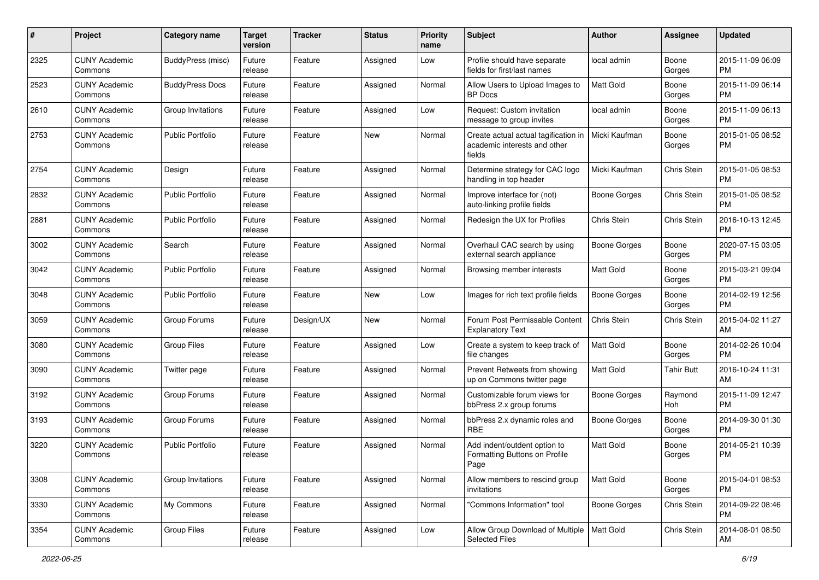| #    | Project                         | <b>Category name</b>    | <b>Target</b><br>version | <b>Tracker</b> | <b>Status</b> | <b>Priority</b><br>name | Subject                                                                        | Author              | <b>Assignee</b>   | <b>Updated</b>                |
|------|---------------------------------|-------------------------|--------------------------|----------------|---------------|-------------------------|--------------------------------------------------------------------------------|---------------------|-------------------|-------------------------------|
| 2325 | <b>CUNY Academic</b><br>Commons | BuddyPress (misc)       | Future<br>release        | Feature        | Assigned      | Low                     | Profile should have separate<br>fields for first/last names                    | local admin         | Boone<br>Gorges   | 2015-11-09 06:09<br>PM        |
| 2523 | <b>CUNY Academic</b><br>Commons | <b>BuddyPress Docs</b>  | Future<br>release        | Feature        | Assigned      | Normal                  | Allow Users to Upload Images to<br><b>BP</b> Docs                              | <b>Matt Gold</b>    | Boone<br>Gorges   | 2015-11-09 06:14<br><b>PM</b> |
| 2610 | <b>CUNY Academic</b><br>Commons | Group Invitations       | Future<br>release        | Feature        | Assigned      | Low                     | Request: Custom invitation<br>message to group invites                         | local admin         | Boone<br>Gorges   | 2015-11-09 06:13<br><b>PM</b> |
| 2753 | <b>CUNY Academic</b><br>Commons | <b>Public Portfolio</b> | Future<br>release        | Feature        | New           | Normal                  | Create actual actual tagification in<br>academic interests and other<br>fields | Micki Kaufman       | Boone<br>Gorges   | 2015-01-05 08:52<br>PM        |
| 2754 | <b>CUNY Academic</b><br>Commons | Design                  | Future<br>release        | Feature        | Assigned      | Normal                  | Determine strategy for CAC logo<br>handling in top header                      | Micki Kaufman       | Chris Stein       | 2015-01-05 08:53<br><b>PM</b> |
| 2832 | <b>CUNY Academic</b><br>Commons | <b>Public Portfolio</b> | Future<br>release        | Feature        | Assigned      | Normal                  | Improve interface for (not)<br>auto-linking profile fields                     | Boone Gorges        | Chris Stein       | 2015-01-05 08:52<br><b>PM</b> |
| 2881 | <b>CUNY Academic</b><br>Commons | <b>Public Portfolio</b> | Future<br>release        | Feature        | Assigned      | Normal                  | Redesign the UX for Profiles                                                   | Chris Stein         | Chris Stein       | 2016-10-13 12:45<br><b>PM</b> |
| 3002 | <b>CUNY Academic</b><br>Commons | Search                  | Future<br>release        | Feature        | Assigned      | Normal                  | Overhaul CAC search by using<br>external search appliance                      | <b>Boone Gorges</b> | Boone<br>Gorges   | 2020-07-15 03:05<br>PM        |
| 3042 | <b>CUNY Academic</b><br>Commons | <b>Public Portfolio</b> | Future<br>release        | Feature        | Assigned      | Normal                  | Browsing member interests                                                      | <b>Matt Gold</b>    | Boone<br>Gorges   | 2015-03-21 09:04<br>PM        |
| 3048 | <b>CUNY Academic</b><br>Commons | <b>Public Portfolio</b> | Future<br>release        | Feature        | New           | Low                     | Images for rich text profile fields                                            | <b>Boone Gorges</b> | Boone<br>Gorges   | 2014-02-19 12:56<br><b>PM</b> |
| 3059 | <b>CUNY Academic</b><br>Commons | Group Forums            | Future<br>release        | Design/UX      | New           | Normal                  | Forum Post Permissable Content<br><b>Explanatory Text</b>                      | Chris Stein         | Chris Stein       | 2015-04-02 11:27<br>AM        |
| 3080 | <b>CUNY Academic</b><br>Commons | <b>Group Files</b>      | Future<br>release        | Feature        | Assigned      | Low                     | Create a system to keep track of<br>file changes                               | Matt Gold           | Boone<br>Gorges   | 2014-02-26 10:04<br><b>PM</b> |
| 3090 | <b>CUNY Academic</b><br>Commons | Twitter page            | Future<br>release        | Feature        | Assigned      | Normal                  | Prevent Retweets from showing<br>up on Commons twitter page                    | <b>Matt Gold</b>    | <b>Tahir Butt</b> | 2016-10-24 11:31<br>AM        |
| 3192 | <b>CUNY Academic</b><br>Commons | Group Forums            | Future<br>release        | Feature        | Assigned      | Normal                  | Customizable forum views for<br>bbPress 2.x group forums                       | <b>Boone Gorges</b> | Raymond<br>Hoh    | 2015-11-09 12:47<br><b>PM</b> |
| 3193 | <b>CUNY Academic</b><br>Commons | Group Forums            | Future<br>release        | Feature        | Assigned      | Normal                  | bbPress 2.x dynamic roles and<br>RBE                                           | <b>Boone Gorges</b> | Boone<br>Gorges   | 2014-09-30 01:30<br><b>PM</b> |
| 3220 | <b>CUNY Academic</b><br>Commons | <b>Public Portfolio</b> | Future<br>release        | Feature        | Assigned      | Normal                  | Add indent/outdent option to<br>Formatting Buttons on Profile<br>Page          | <b>Matt Gold</b>    | Boone<br>Gorges   | 2014-05-21 10:39<br><b>PM</b> |
| 3308 | <b>CUNY Academic</b><br>Commons | Group Invitations       | Future<br>release        | Feature        | Assigned      | Normal                  | Allow members to rescind group<br>invitations                                  | Matt Gold           | Boone<br>Gorges   | 2015-04-01 08:53<br>PM        |
| 3330 | <b>CUNY Academic</b><br>Commons | My Commons              | Future<br>release        | Feature        | Assigned      | Normal                  | "Commons Information" tool                                                     | Boone Gorges        | Chris Stein       | 2014-09-22 08:46<br><b>PM</b> |
| 3354 | <b>CUNY Academic</b><br>Commons | Group Files             | Future<br>release        | Feature        | Assigned      | Low                     | Allow Group Download of Multiple   Matt Gold<br><b>Selected Files</b>          |                     | Chris Stein       | 2014-08-01 08:50<br>AM        |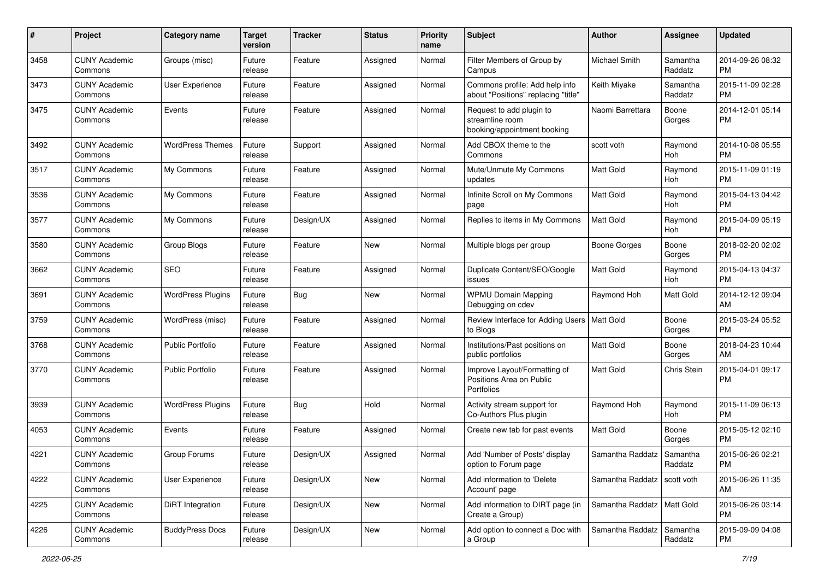| #    | Project                         | <b>Category name</b>     | <b>Target</b><br>version | <b>Tracker</b> | <b>Status</b> | <b>Priority</b><br>name | Subject                                                                    | Author                       | <b>Assignee</b>     | <b>Updated</b>                |
|------|---------------------------------|--------------------------|--------------------------|----------------|---------------|-------------------------|----------------------------------------------------------------------------|------------------------------|---------------------|-------------------------------|
| 3458 | <b>CUNY Academic</b><br>Commons | Groups (misc)            | Future<br>release        | Feature        | Assigned      | Normal                  | Filter Members of Group by<br>Campus                                       | Michael Smith                | Samantha<br>Raddatz | 2014-09-26 08:32<br>PM        |
| 3473 | <b>CUNY Academic</b><br>Commons | User Experience          | Future<br>release        | Feature        | Assigned      | Normal                  | Commons profile: Add help info<br>about "Positions" replacing "title"      | Keith Miyake                 | Samantha<br>Raddatz | 2015-11-09 02:28<br><b>PM</b> |
| 3475 | <b>CUNY Academic</b><br>Commons | Events                   | Future<br>release        | Feature        | Assigned      | Normal                  | Request to add plugin to<br>streamline room<br>booking/appointment booking | Naomi Barrettara             | Boone<br>Gorges     | 2014-12-01 05:14<br>PM        |
| 3492 | <b>CUNY Academic</b><br>Commons | <b>WordPress Themes</b>  | Future<br>release        | Support        | Assigned      | Normal                  | Add CBOX theme to the<br>Commons                                           | scott voth                   | Raymond<br>Hoh      | 2014-10-08 05:55<br><b>PM</b> |
| 3517 | <b>CUNY Academic</b><br>Commons | My Commons               | Future<br>release        | Feature        | Assigned      | Normal                  | Mute/Unmute My Commons<br>updates                                          | <b>Matt Gold</b>             | Raymond<br>Hoh      | 2015-11-09 01:19<br><b>PM</b> |
| 3536 | <b>CUNY Academic</b><br>Commons | My Commons               | Future<br>release        | Feature        | Assigned      | Normal                  | Infinite Scroll on My Commons<br>page                                      | Matt Gold                    | Raymond<br>Hoh      | 2015-04-13 04:42<br><b>PM</b> |
| 3577 | <b>CUNY Academic</b><br>Commons | My Commons               | Future<br>release        | Design/UX      | Assigned      | Normal                  | Replies to items in My Commons                                             | <b>Matt Gold</b>             | Raymond<br>Hoh      | 2015-04-09 05:19<br><b>PM</b> |
| 3580 | <b>CUNY Academic</b><br>Commons | Group Blogs              | Future<br>release        | Feature        | New           | Normal                  | Multiple blogs per group                                                   | <b>Boone Gorges</b>          | Boone<br>Gorges     | 2018-02-20 02:02<br>PM        |
| 3662 | <b>CUNY Academic</b><br>Commons | <b>SEO</b>               | Future<br>release        | Feature        | Assigned      | Normal                  | Duplicate Content/SEO/Google<br>issues                                     | Matt Gold                    | Raymond<br>Hoh      | 2015-04-13 04:37<br>PM        |
| 3691 | <b>CUNY Academic</b><br>Commons | <b>WordPress Plugins</b> | Future<br>release        | <b>Bug</b>     | New           | Normal                  | <b>WPMU Domain Mapping</b><br>Debugging on cdev                            | Raymond Hoh                  | Matt Gold           | 2014-12-12 09:04<br>AM        |
| 3759 | <b>CUNY Academic</b><br>Commons | WordPress (misc)         | Future<br>release        | Feature        | Assigned      | Normal                  | Review Interface for Adding Users   Matt Gold<br>to Blogs                  |                              | Boone<br>Gorges     | 2015-03-24 05:52<br><b>PM</b> |
| 3768 | <b>CUNY Academic</b><br>Commons | <b>Public Portfolio</b>  | Future<br>release        | Feature        | Assigned      | Normal                  | Institutions/Past positions on<br>public portfolios                        | <b>Matt Gold</b>             | Boone<br>Gorges     | 2018-04-23 10:44<br>AM        |
| 3770 | <b>CUNY Academic</b><br>Commons | <b>Public Portfolio</b>  | Future<br>release        | Feature        | Assigned      | Normal                  | Improve Layout/Formatting of<br>Positions Area on Public<br>Portfolios     | <b>Matt Gold</b>             | Chris Stein         | 2015-04-01 09:17<br><b>PM</b> |
| 3939 | <b>CUNY Academic</b><br>Commons | <b>WordPress Plugins</b> | Future<br>release        | <b>Bug</b>     | Hold          | Normal                  | Activity stream support for<br>Co-Authors Plus plugin                      | Raymond Hoh                  | Raymond<br>Hoh      | 2015-11-09 06:13<br><b>PM</b> |
| 4053 | <b>CUNY Academic</b><br>Commons | Events                   | Future<br>release        | Feature        | Assigned      | Normal                  | Create new tab for past events                                             | <b>Matt Gold</b>             | Boone<br>Gorges     | 2015-05-12 02:10<br><b>PM</b> |
| 4221 | <b>CUNY Academic</b><br>Commons | Group Forums             | Future<br>release        | Design/UX      | Assigned      | Normal                  | Add 'Number of Posts' display<br>option to Forum page                      | Samantha Raddatz             | Samantha<br>Raddatz | 2015-06-26 02:21<br>PM        |
| 4222 | <b>CUNY Academic</b><br>Commons | User Experience          | Future<br>release        | Design/UX      | New           | Normal                  | Add information to 'Delete<br>Account' page                                | Samantha Raddatz             | scott voth          | 2015-06-26 11:35<br>AM        |
| 4225 | <b>CUNY Academic</b><br>Commons | DiRT Integration         | Future<br>release        | Design/UX      | New           | Normal                  | Add information to DIRT page (in<br>Create a Group)                        | Samantha Raddatz   Matt Gold |                     | 2015-06-26 03:14<br><b>PM</b> |
| 4226 | <b>CUNY Academic</b><br>Commons | <b>BuddyPress Docs</b>   | Future<br>release        | Design/UX      | New           | Normal                  | Add option to connect a Doc with<br>a Group                                | Samantha Raddatz             | Samantha<br>Raddatz | 2015-09-09 04:08<br><b>PM</b> |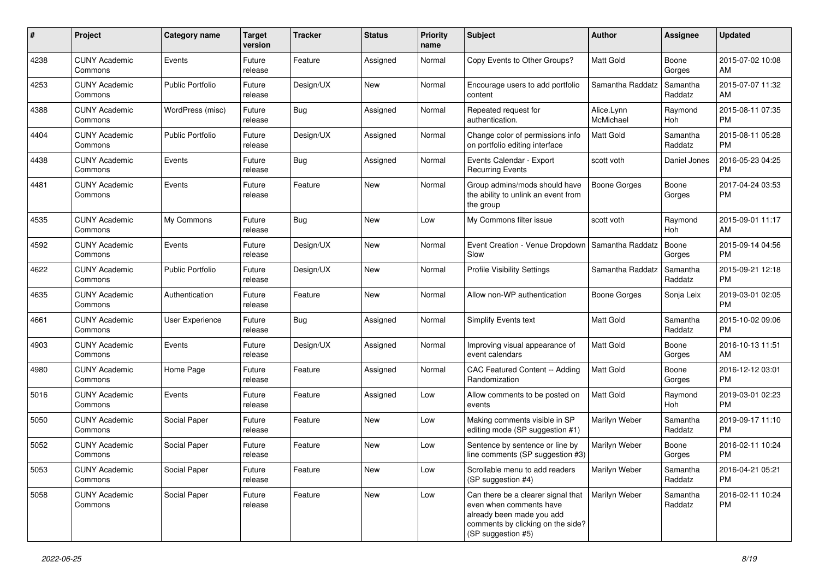| #    | Project                         | <b>Category name</b>    | <b>Target</b><br>version | <b>Tracker</b> | <b>Status</b> | <b>Priority</b><br>name | <b>Subject</b>                                                                                                                                        | Author                  | <b>Assignee</b>     | <b>Updated</b>                |
|------|---------------------------------|-------------------------|--------------------------|----------------|---------------|-------------------------|-------------------------------------------------------------------------------------------------------------------------------------------------------|-------------------------|---------------------|-------------------------------|
| 4238 | <b>CUNY Academic</b><br>Commons | Events                  | Future<br>release        | Feature        | Assigned      | Normal                  | Copy Events to Other Groups?                                                                                                                          | <b>Matt Gold</b>        | Boone<br>Gorges     | 2015-07-02 10:08<br>AM        |
| 4253 | <b>CUNY Academic</b><br>Commons | <b>Public Portfolio</b> | Future<br>release        | Design/UX      | New           | Normal                  | Encourage users to add portfolio<br>content                                                                                                           | Samantha Raddatz        | Samantha<br>Raddatz | 2015-07-07 11:32<br>AM        |
| 4388 | <b>CUNY Academic</b><br>Commons | WordPress (misc)        | Future<br>release        | Bug            | Assigned      | Normal                  | Repeated request for<br>authentication.                                                                                                               | Alice.Lynn<br>McMichael | Raymond<br>Hoh      | 2015-08-11 07:35<br><b>PM</b> |
| 4404 | <b>CUNY Academic</b><br>Commons | <b>Public Portfolio</b> | Future<br>release        | Design/UX      | Assigned      | Normal                  | Change color of permissions info<br>on portfolio editing interface                                                                                    | <b>Matt Gold</b>        | Samantha<br>Raddatz | 2015-08-11 05:28<br><b>PM</b> |
| 4438 | <b>CUNY Academic</b><br>Commons | Events                  | Future<br>release        | Bug            | Assigned      | Normal                  | Events Calendar - Export<br><b>Recurring Events</b>                                                                                                   | scott voth              | Daniel Jones        | 2016-05-23 04:25<br>PM        |
| 4481 | <b>CUNY Academic</b><br>Commons | Events                  | Future<br>release        | Feature        | <b>New</b>    | Normal                  | Group admins/mods should have<br>the ability to unlink an event from<br>the group                                                                     | <b>Boone Gorges</b>     | Boone<br>Gorges     | 2017-04-24 03:53<br><b>PM</b> |
| 4535 | <b>CUNY Academic</b><br>Commons | My Commons              | Future<br>release        | Bug            | <b>New</b>    | Low                     | My Commons filter issue                                                                                                                               | scott voth              | Raymond<br>Hoh      | 2015-09-01 11:17<br>AM        |
| 4592 | <b>CUNY Academic</b><br>Commons | Events                  | Future<br>release        | Design/UX      | <b>New</b>    | Normal                  | Event Creation - Venue Dropdown<br>Slow                                                                                                               | Samantha Raddatz        | Boone<br>Gorges     | 2015-09-14 04:56<br><b>PM</b> |
| 4622 | <b>CUNY Academic</b><br>Commons | <b>Public Portfolio</b> | Future<br>release        | Design/UX      | <b>New</b>    | Normal                  | <b>Profile Visibility Settings</b>                                                                                                                    | Samantha Raddatz        | Samantha<br>Raddatz | 2015-09-21 12:18<br><b>PM</b> |
| 4635 | <b>CUNY Academic</b><br>Commons | Authentication          | Future<br>release        | Feature        | <b>New</b>    | Normal                  | Allow non-WP authentication                                                                                                                           | <b>Boone Gorges</b>     | Sonja Leix          | 2019-03-01 02:05<br><b>PM</b> |
| 4661 | <b>CUNY Academic</b><br>Commons | User Experience         | Future<br>release        | Bug            | Assigned      | Normal                  | Simplify Events text                                                                                                                                  | Matt Gold               | Samantha<br>Raddatz | 2015-10-02 09:06<br><b>PM</b> |
| 4903 | <b>CUNY Academic</b><br>Commons | Events                  | Future<br>release        | Design/UX      | Assigned      | Normal                  | Improving visual appearance of<br>event calendars                                                                                                     | Matt Gold               | Boone<br>Gorges     | 2016-10-13 11:51<br>AM        |
| 4980 | <b>CUNY Academic</b><br>Commons | Home Page               | Future<br>release        | Feature        | Assigned      | Normal                  | CAC Featured Content -- Adding<br>Randomization                                                                                                       | <b>Matt Gold</b>        | Boone<br>Gorges     | 2016-12-12 03:01<br><b>PM</b> |
| 5016 | <b>CUNY Academic</b><br>Commons | Events                  | Future<br>release        | Feature        | Assigned      | Low                     | Allow comments to be posted on<br>events                                                                                                              | <b>Matt Gold</b>        | Raymond<br>Hoh      | 2019-03-01 02:23<br><b>PM</b> |
| 5050 | <b>CUNY Academic</b><br>Commons | Social Paper            | Future<br>release        | Feature        | New           | Low                     | Making comments visible in SP<br>editing mode (SP suggestion #1)                                                                                      | Marilyn Weber           | Samantha<br>Raddatz | 2019-09-17 11:10<br><b>PM</b> |
| 5052 | <b>CUNY Academic</b><br>Commons | Social Paper            | Future<br>release        | Feature        | <b>New</b>    | Low                     | Sentence by sentence or line by<br>line comments (SP suggestion #3)                                                                                   | Marilyn Weber           | Boone<br>Gorges     | 2016-02-11 10:24<br><b>PM</b> |
| 5053 | <b>CUNY Academic</b><br>Commons | Social Paper            | Future<br>release        | Feature        | New           | Low                     | Scrollable menu to add readers<br>(SP suggestion #4)                                                                                                  | Marilyn Weber           | Samantha<br>Raddatz | 2016-04-21 05:21<br>PM        |
| 5058 | <b>CUNY Academic</b><br>Commons | Social Paper            | Future<br>release        | Feature        | New           | Low                     | Can there be a clearer signal that<br>even when comments have<br>already been made you add<br>comments by clicking on the side?<br>(SP suggestion #5) | Marilyn Weber           | Samantha<br>Raddatz | 2016-02-11 10:24<br>PM        |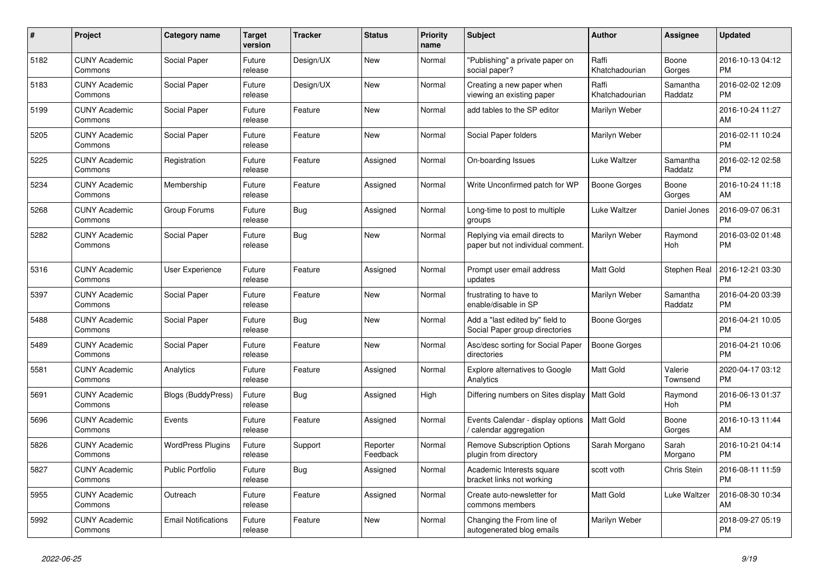| $\pmb{\#}$ | <b>Project</b>                  | Category name              | <b>Target</b><br>version | <b>Tracker</b> | <b>Status</b>        | <b>Priority</b><br>name | <b>Subject</b>                                                     | <b>Author</b>           | <b>Assignee</b>     | <b>Updated</b>                |
|------------|---------------------------------|----------------------------|--------------------------|----------------|----------------------|-------------------------|--------------------------------------------------------------------|-------------------------|---------------------|-------------------------------|
| 5182       | <b>CUNY Academic</b><br>Commons | Social Paper               | Future<br>release        | Design/UX      | <b>New</b>           | Normal                  | 'Publishing" a private paper on<br>social paper?                   | Raffi<br>Khatchadourian | Boone<br>Gorges     | 2016-10-13 04:12<br><b>PM</b> |
| 5183       | <b>CUNY Academic</b><br>Commons | Social Paper               | Future<br>release        | Design/UX      | <b>New</b>           | Normal                  | Creating a new paper when<br>viewing an existing paper             | Raffi<br>Khatchadourian | Samantha<br>Raddatz | 2016-02-02 12:09<br><b>PM</b> |
| 5199       | <b>CUNY Academic</b><br>Commons | Social Paper               | Future<br>release        | Feature        | <b>New</b>           | Normal                  | add tables to the SP editor                                        | Marilyn Weber           |                     | 2016-10-24 11:27<br>AM        |
| 5205       | <b>CUNY Academic</b><br>Commons | Social Paper               | Future<br>release        | Feature        | <b>New</b>           | Normal                  | Social Paper folders                                               | Marilyn Weber           |                     | 2016-02-11 10:24<br><b>PM</b> |
| 5225       | <b>CUNY Academic</b><br>Commons | Registration               | Future<br>release        | Feature        | Assigned             | Normal                  | On-boarding Issues                                                 | Luke Waltzer            | Samantha<br>Raddatz | 2016-02-12 02:58<br><b>PM</b> |
| 5234       | <b>CUNY Academic</b><br>Commons | Membership                 | Future<br>release        | Feature        | Assigned             | Normal                  | Write Unconfirmed patch for WP                                     | <b>Boone Gorges</b>     | Boone<br>Gorges     | 2016-10-24 11:18<br>AM        |
| 5268       | <b>CUNY Academic</b><br>Commons | Group Forums               | Future<br>release        | <b>Bug</b>     | Assigned             | Normal                  | Long-time to post to multiple<br>groups                            | Luke Waltzer            | Daniel Jones        | 2016-09-07 06:31<br><b>PM</b> |
| 5282       | <b>CUNY Academic</b><br>Commons | Social Paper               | Future<br>release        | Bug            | <b>New</b>           | Normal                  | Replying via email directs to<br>paper but not individual comment. | Marilyn Weber           | Raymond<br>Hoh      | 2016-03-02 01:48<br><b>PM</b> |
| 5316       | <b>CUNY Academic</b><br>Commons | User Experience            | Future<br>release        | Feature        | Assigned             | Normal                  | Prompt user email address<br>updates                               | <b>Matt Gold</b>        | Stephen Real        | 2016-12-21 03:30<br><b>PM</b> |
| 5397       | <b>CUNY Academic</b><br>Commons | Social Paper               | Future<br>release        | Feature        | <b>New</b>           | Normal                  | frustrating to have to<br>enable/disable in SP                     | Marilyn Weber           | Samantha<br>Raddatz | 2016-04-20 03:39<br><b>PM</b> |
| 5488       | <b>CUNY Academic</b><br>Commons | Social Paper               | Future<br>release        | <b>Bug</b>     | <b>New</b>           | Normal                  | Add a "last edited by" field to<br>Social Paper group directories  | Boone Gorges            |                     | 2016-04-21 10:05<br><b>PM</b> |
| 5489       | <b>CUNY Academic</b><br>Commons | Social Paper               | Future<br>release        | Feature        | New                  | Normal                  | Asc/desc sorting for Social Paper<br>directories                   | <b>Boone Gorges</b>     |                     | 2016-04-21 10:06<br><b>PM</b> |
| 5581       | <b>CUNY Academic</b><br>Commons | Analytics                  | Future<br>release        | Feature        | Assigned             | Normal                  | <b>Explore alternatives to Google</b><br>Analytics                 | Matt Gold               | Valerie<br>Townsend | 2020-04-17 03:12<br><b>PM</b> |
| 5691       | <b>CUNY Academic</b><br>Commons | Blogs (BuddyPress)         | Future<br>release        | <b>Bug</b>     | Assigned             | High                    | Differing numbers on Sites display                                 | <b>Matt Gold</b>        | Raymond<br>Hoh      | 2016-06-13 01:37<br><b>PM</b> |
| 5696       | <b>CUNY Academic</b><br>Commons | Events                     | Future<br>release        | Feature        | Assigned             | Normal                  | Events Calendar - display options<br>calendar aggregation          | <b>Matt Gold</b>        | Boone<br>Gorges     | 2016-10-13 11:44<br>AM        |
| 5826       | <b>CUNY Academic</b><br>Commons | <b>WordPress Plugins</b>   | Future<br>release        | Support        | Reporter<br>Feedback | Normal                  | <b>Remove Subscription Options</b><br>plugin from directory        | Sarah Morgano           | Sarah<br>Morgano    | 2016-10-21 04:14<br><b>PM</b> |
| 5827       | <b>CUNY Academic</b><br>Commons | <b>Public Portfolio</b>    | Future<br>release        | Bug            | Assigned             | Normal                  | Academic Interests square<br>bracket links not working             | scott voth              | Chris Stein         | 2016-08-11 11:59<br><b>PM</b> |
| 5955       | <b>CUNY Academic</b><br>Commons | Outreach                   | Future<br>release        | Feature        | Assigned             | Normal                  | Create auto-newsletter for<br>commons members                      | <b>Matt Gold</b>        | Luke Waltzer        | 2016-08-30 10:34<br>AM        |
| 5992       | <b>CUNY Academic</b><br>Commons | <b>Email Notifications</b> | Future<br>release        | Feature        | <b>New</b>           | Normal                  | Changing the From line of<br>autogenerated blog emails             | Marilyn Weber           |                     | 2018-09-27 05:19<br><b>PM</b> |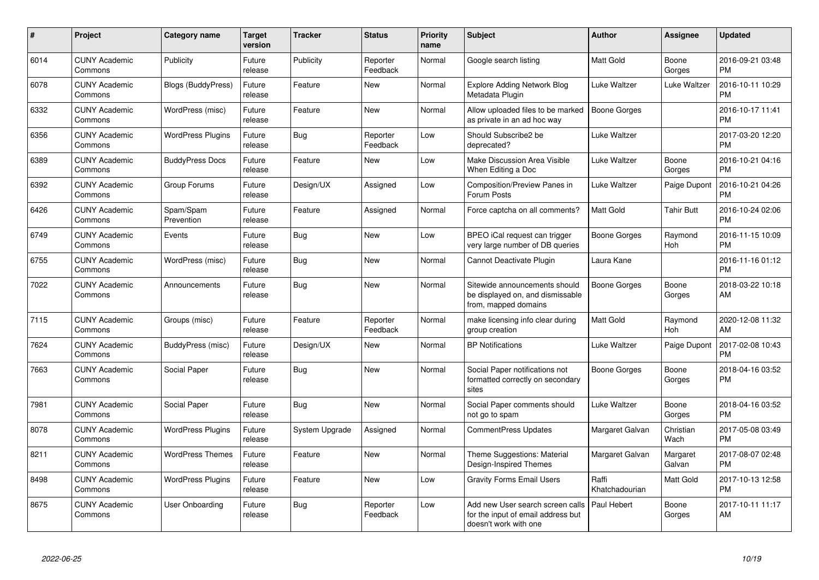| $\pmb{\#}$ | Project                         | <b>Category name</b>      | <b>Target</b><br>version | <b>Tracker</b> | <b>Status</b>        | <b>Priority</b><br>name | <b>Subject</b>                                                                                  | Author                  | <b>Assignee</b>    | <b>Updated</b>                |
|------------|---------------------------------|---------------------------|--------------------------|----------------|----------------------|-------------------------|-------------------------------------------------------------------------------------------------|-------------------------|--------------------|-------------------------------|
| 6014       | <b>CUNY Academic</b><br>Commons | Publicity                 | Future<br>release        | Publicity      | Reporter<br>Feedback | Normal                  | Google search listing                                                                           | <b>Matt Gold</b>        | Boone<br>Gorges    | 2016-09-21 03:48<br><b>PM</b> |
| 6078       | <b>CUNY Academic</b><br>Commons | <b>Blogs (BuddyPress)</b> | Future<br>release        | Feature        | <b>New</b>           | Normal                  | Explore Adding Network Blog<br>Metadata Plugin                                                  | Luke Waltzer            | Luke Waltzer       | 2016-10-11 10:29<br><b>PM</b> |
| 6332       | <b>CUNY Academic</b><br>Commons | WordPress (misc)          | Future<br>release        | Feature        | <b>New</b>           | Normal                  | Allow uploaded files to be marked<br>as private in an ad hoc way                                | <b>Boone Gorges</b>     |                    | 2016-10-17 11:41<br><b>PM</b> |
| 6356       | <b>CUNY Academic</b><br>Commons | <b>WordPress Plugins</b>  | Future<br>release        | Bug            | Reporter<br>Feedback | Low                     | Should Subscribe2 be<br>deprecated?                                                             | Luke Waltzer            |                    | 2017-03-20 12:20<br><b>PM</b> |
| 6389       | <b>CUNY Academic</b><br>Commons | <b>BuddyPress Docs</b>    | Future<br>release        | Feature        | New                  | Low                     | Make Discussion Area Visible<br>When Editing a Doc                                              | Luke Waltzer            | Boone<br>Gorges    | 2016-10-21 04:16<br><b>PM</b> |
| 6392       | <b>CUNY Academic</b><br>Commons | Group Forums              | Future<br>release        | Design/UX      | Assigned             | Low                     | Composition/Preview Panes in<br>Forum Posts                                                     | Luke Waltzer            | Paige Dupont       | 2016-10-21 04:26<br><b>PM</b> |
| 6426       | <b>CUNY Academic</b><br>Commons | Spam/Spam<br>Prevention   | Future<br>release        | Feature        | Assigned             | Normal                  | Force captcha on all comments?                                                                  | Matt Gold               | <b>Tahir Butt</b>  | 2016-10-24 02:06<br><b>PM</b> |
| 6749       | <b>CUNY Academic</b><br>Commons | Events                    | Future<br>release        | Bug            | <b>New</b>           | Low                     | BPEO iCal request can trigger<br>very large number of DB queries                                | Boone Gorges            | Raymond<br>Hoh     | 2016-11-15 10:09<br><b>PM</b> |
| 6755       | <b>CUNY Academic</b><br>Commons | WordPress (misc)          | Future<br>release        | Bug            | <b>New</b>           | Normal                  | Cannot Deactivate Plugin                                                                        | Laura Kane              |                    | 2016-11-16 01:12<br><b>PM</b> |
| 7022       | <b>CUNY Academic</b><br>Commons | Announcements             | Future<br>release        | Bug            | New                  | Normal                  | Sitewide announcements should<br>be displayed on, and dismissable<br>from, mapped domains       | Boone Gorges            | Boone<br>Gorges    | 2018-03-22 10:18<br>AM        |
| 7115       | <b>CUNY Academic</b><br>Commons | Groups (misc)             | Future<br>release        | Feature        | Reporter<br>Feedback | Normal                  | make licensing info clear during<br>group creation                                              | <b>Matt Gold</b>        | Raymond<br>Hoh     | 2020-12-08 11:32<br>AM        |
| 7624       | <b>CUNY Academic</b><br>Commons | BuddyPress (misc)         | Future<br>release        | Design/UX      | <b>New</b>           | Normal                  | <b>BP Notifications</b>                                                                         | Luke Waltzer            | Paige Dupont       | 2017-02-08 10:43<br><b>PM</b> |
| 7663       | <b>CUNY Academic</b><br>Commons | Social Paper              | Future<br>release        | <b>Bug</b>     | <b>New</b>           | Normal                  | Social Paper notifications not<br>formatted correctly on secondary<br>sites                     | Boone Gorges            | Boone<br>Gorges    | 2018-04-16 03:52<br><b>PM</b> |
| 7981       | <b>CUNY Academic</b><br>Commons | Social Paper              | Future<br>release        | <b>Bug</b>     | <b>New</b>           | Normal                  | Social Paper comments should<br>not go to spam                                                  | Luke Waltzer            | Boone<br>Gorges    | 2018-04-16 03:52<br><b>PM</b> |
| 8078       | <b>CUNY Academic</b><br>Commons | <b>WordPress Plugins</b>  | Future<br>release        | System Upgrade | Assigned             | Normal                  | <b>CommentPress Updates</b>                                                                     | Margaret Galvan         | Christian<br>Wach  | 2017-05-08 03:49<br><b>PM</b> |
| 8211       | <b>CUNY Academic</b><br>Commons | <b>WordPress Themes</b>   | Future<br>release        | Feature        | <b>New</b>           | Normal                  | Theme Suggestions: Material<br>Design-Inspired Themes                                           | Margaret Galvan         | Margaret<br>Galvan | 2017-08-07 02:48<br><b>PM</b> |
| 8498       | <b>CUNY Academic</b><br>Commons | <b>WordPress Plugins</b>  | Future<br>release        | Feature        | <b>New</b>           | Low                     | <b>Gravity Forms Email Users</b>                                                                | Raffi<br>Khatchadourian | Matt Gold          | 2017-10-13 12:58<br><b>PM</b> |
| 8675       | <b>CUNY Academic</b><br>Commons | <b>User Onboarding</b>    | Future<br>release        | <b>Bug</b>     | Reporter<br>Feedback | Low                     | Add new User search screen calls<br>for the input of email address but<br>doesn't work with one | Paul Hebert             | Boone<br>Gorges    | 2017-10-11 11:17<br>AM        |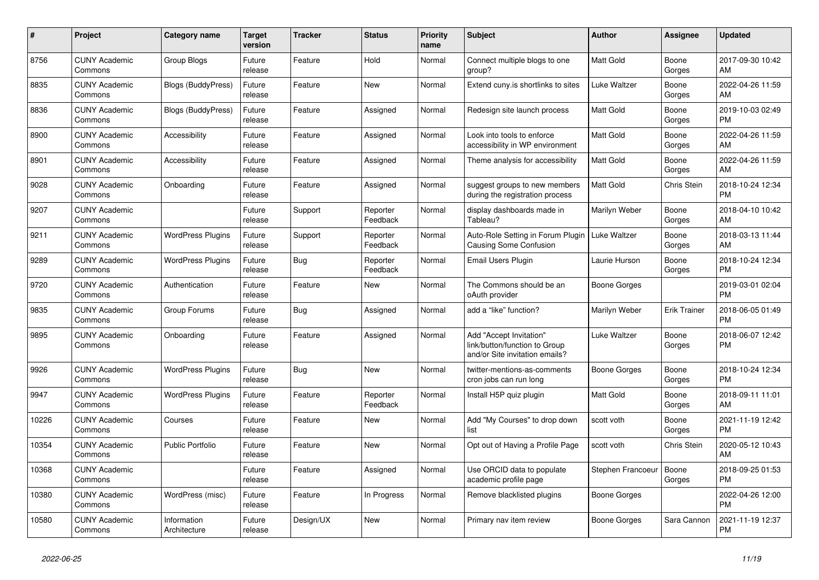| #     | Project                         | Category name               | Target<br>version | <b>Tracker</b> | <b>Status</b>        | <b>Priority</b><br>name | <b>Subject</b>                                                                             | <b>Author</b>     | <b>Assignee</b>     | <b>Updated</b>                |
|-------|---------------------------------|-----------------------------|-------------------|----------------|----------------------|-------------------------|--------------------------------------------------------------------------------------------|-------------------|---------------------|-------------------------------|
| 8756  | <b>CUNY Academic</b><br>Commons | Group Blogs                 | Future<br>release | Feature        | Hold                 | Normal                  | Connect multiple blogs to one<br>group?                                                    | <b>Matt Gold</b>  | Boone<br>Gorges     | 2017-09-30 10:42<br>AM        |
| 8835  | <b>CUNY Academic</b><br>Commons | Blogs (BuddyPress)          | Future<br>release | Feature        | <b>New</b>           | Normal                  | Extend cuny is shortlinks to sites                                                         | Luke Waltzer      | Boone<br>Gorges     | 2022-04-26 11:59<br>AM        |
| 8836  | <b>CUNY Academic</b><br>Commons | Blogs (BuddyPress)          | Future<br>release | Feature        | Assigned             | Normal                  | Redesign site launch process                                                               | <b>Matt Gold</b>  | Boone<br>Gorges     | 2019-10-03 02:49<br><b>PM</b> |
| 8900  | <b>CUNY Academic</b><br>Commons | Accessibility               | Future<br>release | Feature        | Assigned             | Normal                  | Look into tools to enforce<br>accessibility in WP environment                              | Matt Gold         | Boone<br>Gorges     | 2022-04-26 11:59<br>AM        |
| 8901  | <b>CUNY Academic</b><br>Commons | Accessibility               | Future<br>release | Feature        | Assigned             | Normal                  | Theme analysis for accessibility                                                           | <b>Matt Gold</b>  | Boone<br>Gorges     | 2022-04-26 11:59<br>AM        |
| 9028  | <b>CUNY Academic</b><br>Commons | Onboarding                  | Future<br>release | Feature        | Assigned             | Normal                  | suggest groups to new members<br>during the registration process                           | <b>Matt Gold</b>  | Chris Stein         | 2018-10-24 12:34<br><b>PM</b> |
| 9207  | <b>CUNY Academic</b><br>Commons |                             | Future<br>release | Support        | Reporter<br>Feedback | Normal                  | display dashboards made in<br>Tableau?                                                     | Marilyn Weber     | Boone<br>Gorges     | 2018-04-10 10:42<br>AM        |
| 9211  | <b>CUNY Academic</b><br>Commons | <b>WordPress Plugins</b>    | Future<br>release | Support        | Reporter<br>Feedback | Normal                  | Auto-Role Setting in Forum Plugin<br><b>Causing Some Confusion</b>                         | Luke Waltzer      | Boone<br>Gorges     | 2018-03-13 11:44<br>AM        |
| 9289  | <b>CUNY Academic</b><br>Commons | <b>WordPress Plugins</b>    | Future<br>release | <b>Bug</b>     | Reporter<br>Feedback | Normal                  | Email Users Plugin                                                                         | Laurie Hurson     | Boone<br>Gorges     | 2018-10-24 12:34<br><b>PM</b> |
| 9720  | <b>CUNY Academic</b><br>Commons | Authentication              | Future<br>release | Feature        | <b>New</b>           | Normal                  | The Commons should be an<br>oAuth provider                                                 | Boone Gorges      |                     | 2019-03-01 02:04<br><b>PM</b> |
| 9835  | <b>CUNY Academic</b><br>Commons | Group Forums                | Future<br>release | Bug            | Assigned             | Normal                  | add a "like" function?                                                                     | Marilyn Weber     | <b>Erik Trainer</b> | 2018-06-05 01:49<br><b>PM</b> |
| 9895  | <b>CUNY Academic</b><br>Commons | Onboarding                  | Future<br>release | Feature        | Assigned             | Normal                  | Add "Accept Invitation"<br>link/button/function to Group<br>and/or Site invitation emails? | Luke Waltzer      | Boone<br>Gorges     | 2018-06-07 12:42<br><b>PM</b> |
| 9926  | <b>CUNY Academic</b><br>Commons | <b>WordPress Plugins</b>    | Future<br>release | Bug            | <b>New</b>           | Normal                  | twitter-mentions-as-comments<br>cron jobs can run long                                     | Boone Gorges      | Boone<br>Gorges     | 2018-10-24 12:34<br><b>PM</b> |
| 9947  | <b>CUNY Academic</b><br>Commons | <b>WordPress Plugins</b>    | Future<br>release | Feature        | Reporter<br>Feedback | Normal                  | Install H5P quiz plugin                                                                    | Matt Gold         | Boone<br>Gorges     | 2018-09-11 11:01<br>AM        |
| 10226 | <b>CUNY Academic</b><br>Commons | Courses                     | Future<br>release | Feature        | <b>New</b>           | Normal                  | Add "My Courses" to drop down<br>list                                                      | scott voth        | Boone<br>Gorges     | 2021-11-19 12:42<br><b>PM</b> |
| 10354 | <b>CUNY Academic</b><br>Commons | <b>Public Portfolio</b>     | Future<br>release | Feature        | <b>New</b>           | Normal                  | Opt out of Having a Profile Page                                                           | scott voth        | <b>Chris Stein</b>  | 2020-05-12 10:43<br>AM        |
| 10368 | <b>CUNY Academic</b><br>Commons |                             | Future<br>release | Feature        | Assigned             | Normal                  | Use ORCID data to populate<br>academic profile page                                        | Stephen Francoeur | Boone<br>Gorges     | 2018-09-25 01:53<br><b>PM</b> |
| 10380 | <b>CUNY Academic</b><br>Commons | WordPress (misc)            | Future<br>release | Feature        | In Progress          | Normal                  | Remove blacklisted plugins                                                                 | Boone Gorges      |                     | 2022-04-26 12:00<br><b>PM</b> |
| 10580 | <b>CUNY Academic</b><br>Commons | Information<br>Architecture | Future<br>release | Design/UX      | <b>New</b>           | Normal                  | Primary nav item review                                                                    | Boone Gorges      | Sara Cannon         | 2021-11-19 12:37<br><b>PM</b> |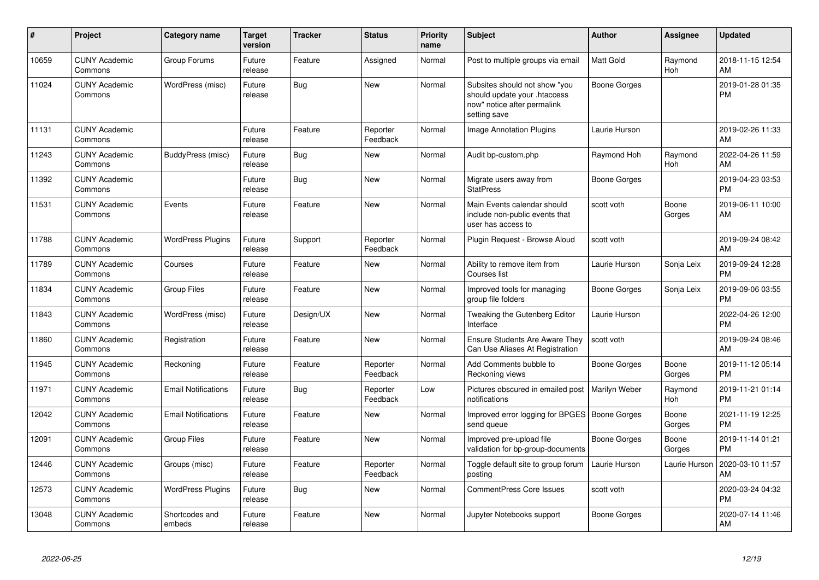| #     | Project                         | <b>Category name</b>       | Target<br>version | <b>Tracker</b> | <b>Status</b>        | <b>Priority</b><br>name | <b>Subject</b>                                                                                               | <b>Author</b>       | <b>Assignee</b>       | <b>Updated</b>                |
|-------|---------------------------------|----------------------------|-------------------|----------------|----------------------|-------------------------|--------------------------------------------------------------------------------------------------------------|---------------------|-----------------------|-------------------------------|
| 10659 | <b>CUNY Academic</b><br>Commons | Group Forums               | Future<br>release | Feature        | Assigned             | Normal                  | Post to multiple groups via email                                                                            | <b>Matt Gold</b>    | Raymond<br>Hoh        | 2018-11-15 12:54<br>AM        |
| 11024 | <b>CUNY Academic</b><br>Commons | WordPress (misc)           | Future<br>release | Bug            | <b>New</b>           | Normal                  | Subsites should not show "you<br>should update your .htaccess<br>now" notice after permalink<br>setting save | <b>Boone Gorges</b> |                       | 2019-01-28 01:35<br><b>PM</b> |
| 11131 | <b>CUNY Academic</b><br>Commons |                            | Future<br>release | Feature        | Reporter<br>Feedback | Normal                  | <b>Image Annotation Plugins</b>                                                                              | Laurie Hurson       |                       | 2019-02-26 11:33<br>AM        |
| 11243 | <b>CUNY Academic</b><br>Commons | BuddyPress (misc)          | Future<br>release | <b>Bug</b>     | New                  | Normal                  | Audit bp-custom.php                                                                                          | Raymond Hoh         | Raymond<br><b>Hoh</b> | 2022-04-26 11:59<br>AM        |
| 11392 | <b>CUNY Academic</b><br>Commons |                            | Future<br>release | Bug            | <b>New</b>           | Normal                  | Migrate users away from<br><b>StatPress</b>                                                                  | <b>Boone Gorges</b> |                       | 2019-04-23 03:53<br><b>PM</b> |
| 11531 | <b>CUNY Academic</b><br>Commons | Events                     | Future<br>release | Feature        | <b>New</b>           | Normal                  | Main Events calendar should<br>include non-public events that<br>user has access to                          | scott voth          | Boone<br>Gorges       | 2019-06-11 10:00<br>AM        |
| 11788 | <b>CUNY Academic</b><br>Commons | <b>WordPress Plugins</b>   | Future<br>release | Support        | Reporter<br>Feedback | Normal                  | Plugin Reguest - Browse Aloud                                                                                | scott voth          |                       | 2019-09-24 08:42<br>AM        |
| 11789 | <b>CUNY Academic</b><br>Commons | Courses                    | Future<br>release | Feature        | <b>New</b>           | Normal                  | Ability to remove item from<br>Courses list                                                                  | Laurie Hurson       | Sonja Leix            | 2019-09-24 12:28<br><b>PM</b> |
| 11834 | <b>CUNY Academic</b><br>Commons | <b>Group Files</b>         | Future<br>release | Feature        | <b>New</b>           | Normal                  | Improved tools for managing<br>group file folders                                                            | Boone Gorges        | Sonja Leix            | 2019-09-06 03:55<br><b>PM</b> |
| 11843 | <b>CUNY Academic</b><br>Commons | WordPress (misc)           | Future<br>release | Design/UX      | <b>New</b>           | Normal                  | Tweaking the Gutenberg Editor<br>Interface                                                                   | Laurie Hurson       |                       | 2022-04-26 12:00<br><b>PM</b> |
| 11860 | <b>CUNY Academic</b><br>Commons | Registration               | Future<br>release | Feature        | <b>New</b>           | Normal                  | Ensure Students Are Aware They<br>Can Use Aliases At Registration                                            | scott voth          |                       | 2019-09-24 08:46<br>AM        |
| 11945 | <b>CUNY Academic</b><br>Commons | Reckoning                  | Future<br>release | Feature        | Reporter<br>Feedback | Normal                  | Add Comments bubble to<br>Reckoning views                                                                    | <b>Boone Gorges</b> | Boone<br>Gorges       | 2019-11-12 05:14<br><b>PM</b> |
| 11971 | <b>CUNY Academic</b><br>Commons | <b>Email Notifications</b> | Future<br>release | <b>Bug</b>     | Reporter<br>Feedback | Low                     | Pictures obscured in emailed post<br>notifications                                                           | Marilyn Weber       | Raymond<br><b>Hoh</b> | 2019-11-21 01:14<br><b>PM</b> |
| 12042 | <b>CUNY Academic</b><br>Commons | <b>Email Notifications</b> | Future<br>release | Feature        | <b>New</b>           | Normal                  | Improved error logging for BPGES   Boone Gorges<br>send queue                                                |                     | Boone<br>Gorges       | 2021-11-19 12:25<br><b>PM</b> |
| 12091 | <b>CUNY Academic</b><br>Commons | <b>Group Files</b>         | Future<br>release | Feature        | <b>New</b>           | Normal                  | Improved pre-upload file<br>validation for bp-group-documents                                                | Boone Gorges        | Boone<br>Gorges       | 2019-11-14 01:21<br><b>PM</b> |
| 12446 | <b>CUNY Academic</b><br>Commons | Groups (misc)              | Future<br>release | Feature        | Reporter<br>Feedback | Normal                  | Toggle default site to group forum<br>posting                                                                | Laurie Hurson       | Laurie Hurson         | 2020-03-10 11:57<br>AM        |
| 12573 | <b>CUNY Academic</b><br>Commons | <b>WordPress Plugins</b>   | Future<br>release | Bug            | <b>New</b>           | Normal                  | <b>CommentPress Core Issues</b>                                                                              | scott voth          |                       | 2020-03-24 04:32<br><b>PM</b> |
| 13048 | <b>CUNY Academic</b><br>Commons | Shortcodes and<br>embeds   | Future<br>release | Feature        | <b>New</b>           | Normal                  | Jupyter Notebooks support                                                                                    | <b>Boone Gorges</b> |                       | 2020-07-14 11:46<br>AM        |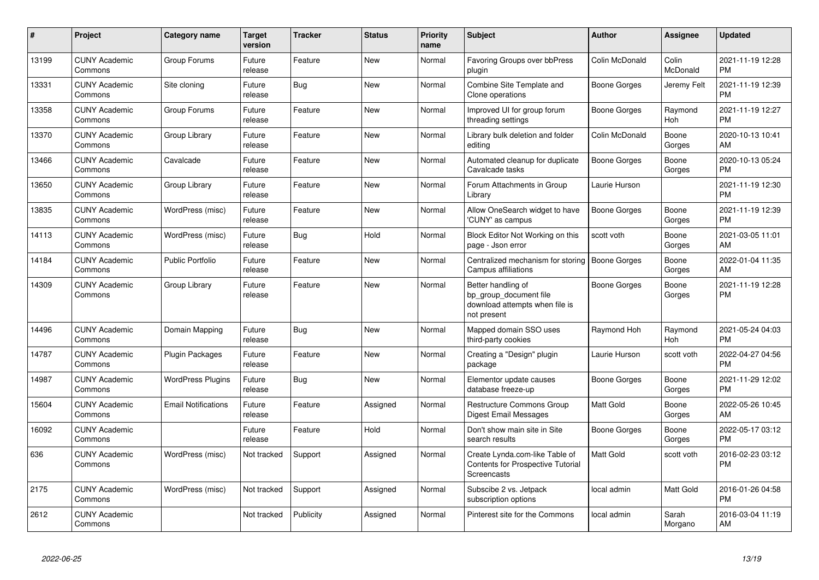| #     | <b>Project</b>                  | <b>Category name</b>       | <b>Target</b><br>version | <b>Tracker</b> | <b>Status</b> | <b>Priority</b><br>name | <b>Subject</b>                                                                                | <b>Author</b>       | <b>Assignee</b>       | <b>Updated</b>                |
|-------|---------------------------------|----------------------------|--------------------------|----------------|---------------|-------------------------|-----------------------------------------------------------------------------------------------|---------------------|-----------------------|-------------------------------|
| 13199 | <b>CUNY Academic</b><br>Commons | Group Forums               | Future<br>release        | Feature        | New           | Normal                  | Favoring Groups over bbPress<br>plugin                                                        | Colin McDonald      | Colin<br>McDonald     | 2021-11-19 12:28<br><b>PM</b> |
| 13331 | <b>CUNY Academic</b><br>Commons | Site cloning               | Future<br>release        | Bug            | <b>New</b>    | Normal                  | Combine Site Template and<br>Clone operations                                                 | Boone Gorges        | Jeremy Felt           | 2021-11-19 12:39<br><b>PM</b> |
| 13358 | <b>CUNY Academic</b><br>Commons | Group Forums               | Future<br>release        | Feature        | <b>New</b>    | Normal                  | Improved UI for group forum<br>threading settings                                             | Boone Gorges        | Raymond<br>Hoh        | 2021-11-19 12:27<br><b>PM</b> |
| 13370 | <b>CUNY Academic</b><br>Commons | Group Library              | Future<br>release        | Feature        | <b>New</b>    | Normal                  | Library bulk deletion and folder<br>editing                                                   | Colin McDonald      | Boone<br>Gorges       | 2020-10-13 10:41<br>AM        |
| 13466 | <b>CUNY Academic</b><br>Commons | Cavalcade                  | Future<br>release        | Feature        | New           | Normal                  | Automated cleanup for duplicate<br>Cavalcade tasks                                            | <b>Boone Gorges</b> | Boone<br>Gorges       | 2020-10-13 05:24<br><b>PM</b> |
| 13650 | <b>CUNY Academic</b><br>Commons | Group Library              | Future<br>release        | Feature        | New           | Normal                  | Forum Attachments in Group<br>Library                                                         | Laurie Hurson       |                       | 2021-11-19 12:30<br><b>PM</b> |
| 13835 | <b>CUNY Academic</b><br>Commons | WordPress (misc)           | Future<br>release        | Feature        | <b>New</b>    | Normal                  | Allow OneSearch widget to have<br>'CUNY' as campus                                            | Boone Gorges        | Boone<br>Gorges       | 2021-11-19 12:39<br><b>PM</b> |
| 14113 | <b>CUNY Academic</b><br>Commons | WordPress (misc)           | Future<br>release        | <b>Bug</b>     | Hold          | Normal                  | Block Editor Not Working on this<br>page - Json error                                         | scott voth          | Boone<br>Gorges       | 2021-03-05 11:01<br>AM        |
| 14184 | <b>CUNY Academic</b><br>Commons | <b>Public Portfolio</b>    | Future<br>release        | Feature        | <b>New</b>    | Normal                  | Centralized mechanism for storing<br><b>Campus affiliations</b>                               | Boone Gorges        | Boone<br>Gorges       | 2022-01-04 11:35<br>AM        |
| 14309 | <b>CUNY Academic</b><br>Commons | Group Library              | Future<br>release        | Feature        | <b>New</b>    | Normal                  | Better handling of<br>bp group document file<br>download attempts when file is<br>not present | Boone Gorges        | Boone<br>Gorges       | 2021-11-19 12:28<br><b>PM</b> |
| 14496 | <b>CUNY Academic</b><br>Commons | Domain Mapping             | Future<br>release        | <b>Bug</b>     | <b>New</b>    | Normal                  | Mapped domain SSO uses<br>third-party cookies                                                 | Raymond Hoh         | Raymond<br><b>Hoh</b> | 2021-05-24 04:03<br><b>PM</b> |
| 14787 | <b>CUNY Academic</b><br>Commons | <b>Plugin Packages</b>     | Future<br>release        | Feature        | <b>New</b>    | Normal                  | Creating a "Design" plugin<br>package                                                         | Laurie Hurson       | scott voth            | 2022-04-27 04:56<br><b>PM</b> |
| 14987 | <b>CUNY Academic</b><br>Commons | <b>WordPress Plugins</b>   | Future<br>release        | <b>Bug</b>     | <b>New</b>    | Normal                  | Elementor update causes<br>database freeze-up                                                 | Boone Gorges        | Boone<br>Gorges       | 2021-11-29 12:02<br><b>PM</b> |
| 15604 | <b>CUNY Academic</b><br>Commons | <b>Email Notifications</b> | Future<br>release        | Feature        | Assigned      | Normal                  | Restructure Commons Group<br>Digest Email Messages                                            | <b>Matt Gold</b>    | Boone<br>Gorges       | 2022-05-26 10:45<br>AM        |
| 16092 | <b>CUNY Academic</b><br>Commons |                            | Future<br>release        | Feature        | Hold          | Normal                  | Don't show main site in Site<br>search results                                                | Boone Gorges        | Boone<br>Gorges       | 2022-05-17 03:12<br><b>PM</b> |
| 636   | <b>CUNY Academic</b><br>Commons | WordPress (misc)           | Not tracked              | Support        | Assigned      | Normal                  | Create Lynda.com-like Table of<br><b>Contents for Prospective Tutorial</b><br>Screencasts     | <b>Matt Gold</b>    | scott voth            | 2016-02-23 03:12<br><b>PM</b> |
| 2175  | <b>CUNY Academic</b><br>Commons | WordPress (misc)           | Not tracked              | Support        | Assigned      | Normal                  | Subscibe 2 vs. Jetpack<br>subscription options                                                | local admin         | Matt Gold             | 2016-01-26 04:58<br><b>PM</b> |
| 2612  | <b>CUNY Academic</b><br>Commons |                            | Not tracked              | Publicity      | Assigned      | Normal                  | Pinterest site for the Commons                                                                | local admin         | Sarah<br>Morgano      | 2016-03-04 11:19<br>AM        |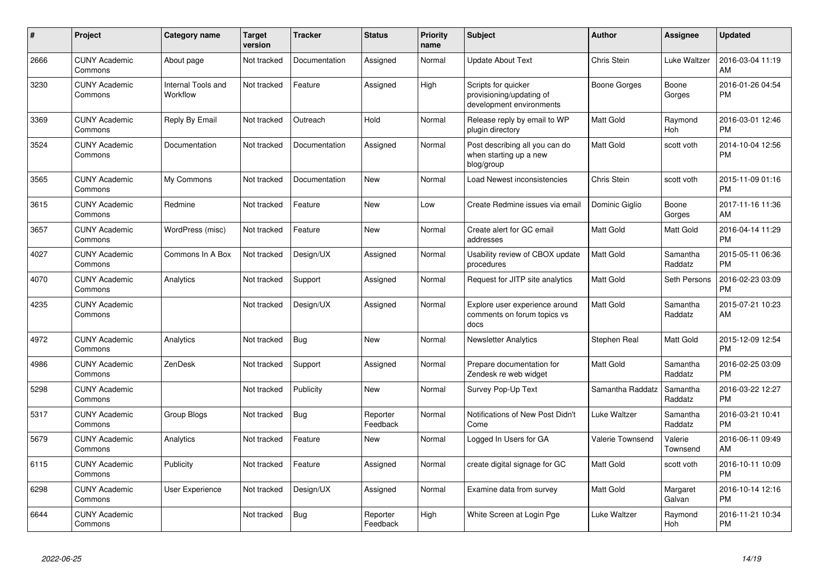| #    | <b>Project</b>                  | <b>Category name</b>           | <b>Target</b><br>version | <b>Tracker</b> | <b>Status</b>        | <b>Priority</b><br>name | <b>Subject</b>                                                              | <b>Author</b>    | Assignee            | <b>Updated</b>                |
|------|---------------------------------|--------------------------------|--------------------------|----------------|----------------------|-------------------------|-----------------------------------------------------------------------------|------------------|---------------------|-------------------------------|
| 2666 | <b>CUNY Academic</b><br>Commons | About page                     | Not tracked              | Documentation  | Assigned             | Normal                  | <b>Update About Text</b>                                                    | Chris Stein      | Luke Waltzer        | 2016-03-04 11:19<br>AM        |
| 3230 | <b>CUNY Academic</b><br>Commons | Internal Tools and<br>Workflow | Not tracked              | Feature        | Assigned             | High                    | Scripts for quicker<br>provisioning/updating of<br>development environments | Boone Gorges     | Boone<br>Gorges     | 2016-01-26 04:54<br>PM        |
| 3369 | <b>CUNY Academic</b><br>Commons | Reply By Email                 | Not tracked              | Outreach       | Hold                 | Normal                  | Release reply by email to WP<br>plugin directory                            | Matt Gold        | Raymond<br>Hoh      | 2016-03-01 12:46<br>PM        |
| 3524 | <b>CUNY Academic</b><br>Commons | Documentation                  | Not tracked              | Documentation  | Assigned             | Normal                  | Post describing all you can do<br>when starting up a new<br>blog/group      | Matt Gold        | scott voth          | 2014-10-04 12:56<br>PM        |
| 3565 | <b>CUNY Academic</b><br>Commons | My Commons                     | Not tracked              | Documentation  | New                  | Normal                  | Load Newest inconsistencies                                                 | Chris Stein      | scott voth          | 2015-11-09 01:16<br><b>PM</b> |
| 3615 | <b>CUNY Academic</b><br>Commons | Redmine                        | Not tracked              | Feature        | New                  | Low                     | Create Redmine issues via email                                             | Dominic Giglio   | Boone<br>Gorges     | 2017-11-16 11:36<br>AM        |
| 3657 | <b>CUNY Academic</b><br>Commons | WordPress (misc)               | Not tracked              | Feature        | New                  | Normal                  | Create alert for GC email<br>addresses                                      | Matt Gold        | Matt Gold           | 2016-04-14 11:29<br>PM        |
| 4027 | <b>CUNY Academic</b><br>Commons | Commons In A Box               | Not tracked              | Design/UX      | Assigned             | Normal                  | Usability review of CBOX update<br>procedures                               | Matt Gold        | Samantha<br>Raddatz | 2015-05-11 06:36<br>PM        |
| 4070 | <b>CUNY Academic</b><br>Commons | Analytics                      | Not tracked              | Support        | Assigned             | Normal                  | Request for JITP site analytics                                             | Matt Gold        | Seth Persons        | 2016-02-23 03:09<br><b>PM</b> |
| 4235 | <b>CUNY Academic</b><br>Commons |                                | Not tracked              | Design/UX      | Assigned             | Normal                  | Explore user experience around<br>comments on forum topics vs<br>docs       | Matt Gold        | Samantha<br>Raddatz | 2015-07-21 10:23<br>AM        |
| 4972 | <b>CUNY Academic</b><br>Commons | Analytics                      | Not tracked              | Bug            | New                  | Normal                  | <b>Newsletter Analytics</b>                                                 | Stephen Real     | Matt Gold           | 2015-12-09 12:54<br><b>PM</b> |
| 4986 | <b>CUNY Academic</b><br>Commons | ZenDesk                        | Not tracked              | Support        | Assigned             | Normal                  | Prepare documentation for<br>Zendesk re web widget                          | Matt Gold        | Samantha<br>Raddatz | 2016-02-25 03:09<br><b>PM</b> |
| 5298 | <b>CUNY Academic</b><br>Commons |                                | Not tracked              | Publicity      | New                  | Normal                  | Survey Pop-Up Text                                                          | Samantha Raddatz | Samantha<br>Raddatz | 2016-03-22 12:27<br>PM        |
| 5317 | <b>CUNY Academic</b><br>Commons | Group Blogs                    | Not tracked              | <b>Bug</b>     | Reporter<br>Feedback | Normal                  | Notifications of New Post Didn't<br>Come                                    | Luke Waltzer     | Samantha<br>Raddatz | 2016-03-21 10:41<br>PM        |
| 5679 | <b>CUNY Academic</b><br>Commons | Analytics                      | Not tracked              | Feature        | <b>New</b>           | Normal                  | Logged In Users for GA                                                      | Valerie Townsend | Valerie<br>Townsend | 2016-06-11 09:49<br>AM        |
| 6115 | <b>CUNY Academic</b><br>Commons | Publicity                      | Not tracked              | Feature        | Assigned             | Normal                  | create digital signage for GC                                               | Matt Gold        | scott voth          | 2016-10-11 10:09<br><b>PM</b> |
| 6298 | <b>CUNY Academic</b><br>Commons | User Experience                | Not tracked              | Design/UX      | Assigned             | Normal                  | Examine data from survey                                                    | Matt Gold        | Margaret<br>Galvan  | 2016-10-14 12:16<br>PM        |
| 6644 | <b>CUNY Academic</b><br>Commons |                                | Not tracked              | Bug            | Reporter<br>Feedback | High                    | White Screen at Login Pge                                                   | Luke Waltzer     | Raymond<br>Hoh      | 2016-11-21 10:34<br>PM        |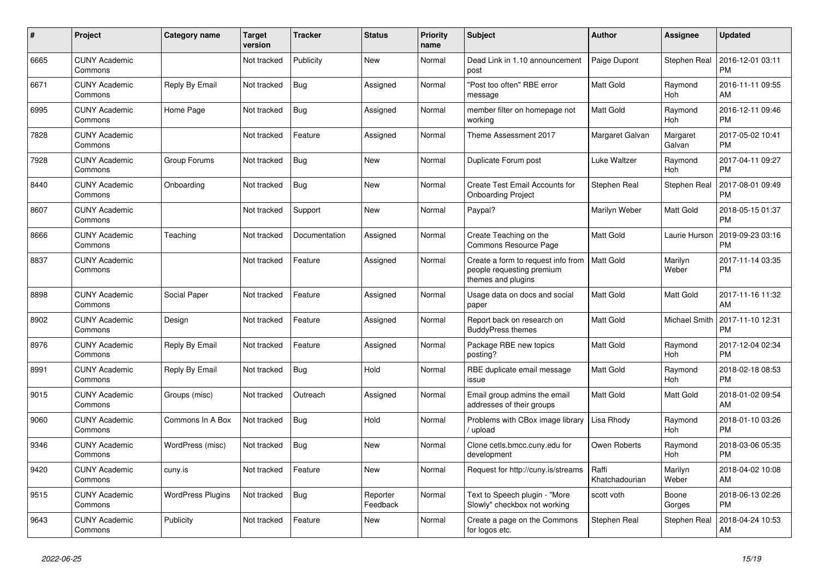| $\#$ | Project                         | <b>Category name</b>     | Target<br>version | <b>Tracker</b> | <b>Status</b>        | <b>Priority</b><br>name | <b>Subject</b>                                                                        | <b>Author</b>           | <b>Assignee</b>       | <b>Updated</b>                |
|------|---------------------------------|--------------------------|-------------------|----------------|----------------------|-------------------------|---------------------------------------------------------------------------------------|-------------------------|-----------------------|-------------------------------|
| 6665 | <b>CUNY Academic</b><br>Commons |                          | Not tracked       | Publicity      | <b>New</b>           | Normal                  | Dead Link in 1.10 announcement<br>post                                                | Paige Dupont            | Stephen Real          | 2016-12-01 03:11<br><b>PM</b> |
| 6671 | <b>CUNY Academic</b><br>Commons | Reply By Email           | Not tracked       | Bug            | Assigned             | Normal                  | 'Post too often" RBE error<br>message                                                 | Matt Gold               | Raymond<br>Hoh        | 2016-11-11 09:55<br>AM        |
| 6995 | <b>CUNY Academic</b><br>Commons | Home Page                | Not tracked       | Bug            | Assigned             | Normal                  | member filter on homepage not<br>working                                              | <b>Matt Gold</b>        | Raymond<br><b>Hoh</b> | 2016-12-11 09:46<br><b>PM</b> |
| 7828 | <b>CUNY Academic</b><br>Commons |                          | Not tracked       | Feature        | Assigned             | Normal                  | Theme Assessment 2017                                                                 | Margaret Galvan         | Margaret<br>Galvan    | 2017-05-02 10:41<br><b>PM</b> |
| 7928 | <b>CUNY Academic</b><br>Commons | Group Forums             | Not tracked       | Bug            | <b>New</b>           | Normal                  | Duplicate Forum post                                                                  | Luke Waltzer            | Raymond<br>Hoh        | 2017-04-11 09:27<br><b>PM</b> |
| 8440 | <b>CUNY Academic</b><br>Commons | Onboarding               | Not tracked       | <b>Bug</b>     | New                  | Normal                  | Create Test Email Accounts for<br><b>Onboarding Project</b>                           | Stephen Real            | Stephen Real          | 2017-08-01 09:49<br><b>PM</b> |
| 8607 | <b>CUNY Academic</b><br>Commons |                          | Not tracked       | Support        | <b>New</b>           | Normal                  | Paypal?                                                                               | Marilyn Weber           | <b>Matt Gold</b>      | 2018-05-15 01:37<br><b>PM</b> |
| 8666 | <b>CUNY Academic</b><br>Commons | Teaching                 | Not tracked       | Documentation  | Assigned             | Normal                  | Create Teaching on the<br>Commons Resource Page                                       | <b>Matt Gold</b>        | Laurie Hurson         | 2019-09-23 03:16<br><b>PM</b> |
| 8837 | <b>CUNY Academic</b><br>Commons |                          | Not tracked       | Feature        | Assigned             | Normal                  | Create a form to request info from<br>people requesting premium<br>themes and plugins | <b>Matt Gold</b>        | Marilyn<br>Weber      | 2017-11-14 03:35<br><b>PM</b> |
| 8898 | <b>CUNY Academic</b><br>Commons | Social Paper             | Not tracked       | Feature        | Assigned             | Normal                  | Usage data on docs and social<br>paper                                                | <b>Matt Gold</b>        | <b>Matt Gold</b>      | 2017-11-16 11:32<br>AM        |
| 8902 | <b>CUNY Academic</b><br>Commons | Design                   | Not tracked       | Feature        | Assigned             | Normal                  | Report back on research on<br><b>BuddyPress themes</b>                                | <b>Matt Gold</b>        | Michael Smith         | 2017-11-10 12:31<br><b>PM</b> |
| 8976 | <b>CUNY Academic</b><br>Commons | Reply By Email           | Not tracked       | Feature        | Assigned             | Normal                  | Package RBE new topics<br>posting?                                                    | <b>Matt Gold</b>        | Raymond<br><b>Hoh</b> | 2017-12-04 02:34<br><b>PM</b> |
| 8991 | <b>CUNY Academic</b><br>Commons | Reply By Email           | Not tracked       | Bug            | Hold                 | Normal                  | RBE duplicate email message<br>issue                                                  | Matt Gold               | Raymond<br>Hoh        | 2018-02-18 08:53<br><b>PM</b> |
| 9015 | <b>CUNY Academic</b><br>Commons | Groups (misc)            | Not tracked       | Outreach       | Assigned             | Normal                  | Email group admins the email<br>addresses of their groups                             | Matt Gold               | Matt Gold             | 2018-01-02 09:54<br>AM        |
| 9060 | <b>CUNY Academic</b><br>Commons | Commons In A Box         | Not tracked       | <b>Bug</b>     | Hold                 | Normal                  | Problems with CBox image library<br>upload                                            | Lisa Rhody              | Raymond<br>Hoh        | 2018-01-10 03:26<br><b>PM</b> |
| 9346 | <b>CUNY Academic</b><br>Commons | WordPress (misc)         | Not tracked       | Bug            | <b>New</b>           | Normal                  | Clone cetls.bmcc.cuny.edu for<br>development                                          | Owen Roberts            | Raymond<br><b>Hoh</b> | 2018-03-06 05:35<br><b>PM</b> |
| 9420 | <b>CUNY Academic</b><br>Commons | cuny.is                  | Not tracked       | Feature        | <b>New</b>           | Normal                  | Request for http://cuny.is/streams                                                    | Raffi<br>Khatchadourian | Marilyn<br>Weber      | 2018-04-02 10:08<br>AM        |
| 9515 | <b>CUNY Academic</b><br>Commons | <b>WordPress Plugins</b> | Not tracked       | <b>Bug</b>     | Reporter<br>Feedback | Normal                  | Text to Speech plugin - "More<br>Slowly" checkbox not working                         | scott voth              | Boone<br>Gorges       | 2018-06-13 02:26<br><b>PM</b> |
| 9643 | <b>CUNY Academic</b><br>Commons | Publicity                | Not tracked       | Feature        | <b>New</b>           | Normal                  | Create a page on the Commons<br>for logos etc.                                        | Stephen Real            | Stephen Real          | 2018-04-24 10:53<br>AM        |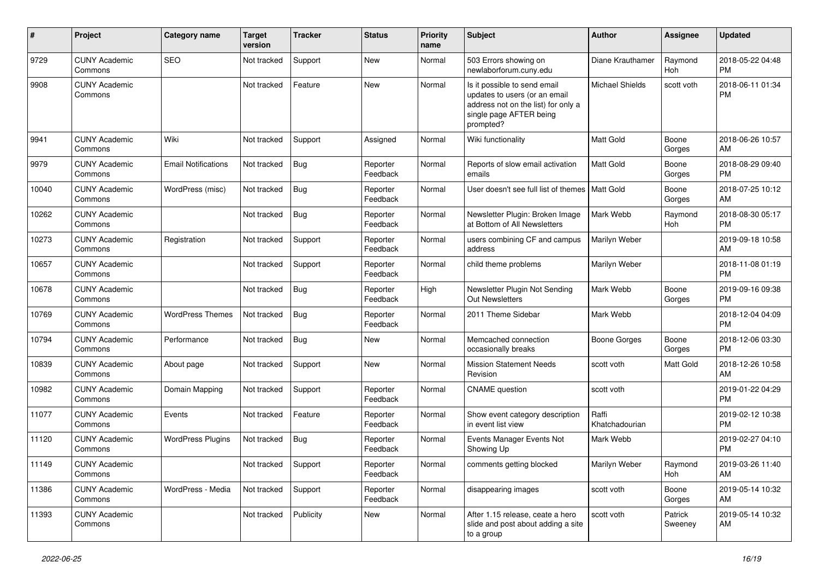| #     | Project                         | <b>Category name</b>       | <b>Target</b><br>version | <b>Tracker</b> | <b>Status</b>        | <b>Priority</b><br>name | <b>Subject</b>                                                                                                                               | <b>Author</b>           | Assignee           | <b>Updated</b>                |
|-------|---------------------------------|----------------------------|--------------------------|----------------|----------------------|-------------------------|----------------------------------------------------------------------------------------------------------------------------------------------|-------------------------|--------------------|-------------------------------|
| 9729  | <b>CUNY Academic</b><br>Commons | SEO                        | Not tracked              | Support        | New                  | Normal                  | 503 Errors showing on<br>newlaborforum.cuny.edu                                                                                              | Diane Krauthamer        | Raymond<br>Hoh     | 2018-05-22 04:48<br><b>PM</b> |
| 9908  | <b>CUNY Academic</b><br>Commons |                            | Not tracked              | Feature        | New                  | Normal                  | Is it possible to send email<br>updates to users (or an email<br>address not on the list) for only a<br>single page AFTER being<br>prompted? | <b>Michael Shields</b>  | scott voth         | 2018-06-11 01:34<br><b>PM</b> |
| 9941  | <b>CUNY Academic</b><br>Commons | Wiki                       | Not tracked              | Support        | Assigned             | Normal                  | Wiki functionality                                                                                                                           | Matt Gold               | Boone<br>Gorges    | 2018-06-26 10:57<br>AM        |
| 9979  | <b>CUNY Academic</b><br>Commons | <b>Email Notifications</b> | Not tracked              | <b>Bug</b>     | Reporter<br>Feedback | Normal                  | Reports of slow email activation<br>emails                                                                                                   | <b>Matt Gold</b>        | Boone<br>Gorges    | 2018-08-29 09:40<br><b>PM</b> |
| 10040 | <b>CUNY Academic</b><br>Commons | WordPress (misc)           | Not tracked              | <b>Bug</b>     | Reporter<br>Feedback | Normal                  | User doesn't see full list of themes   Matt Gold                                                                                             |                         | Boone<br>Gorges    | 2018-07-25 10:12<br>AM        |
| 10262 | <b>CUNY Academic</b><br>Commons |                            | Not tracked              | <b>Bug</b>     | Reporter<br>Feedback | Normal                  | Newsletter Plugin: Broken Image<br>at Bottom of All Newsletters                                                                              | Mark Webb               | Raymond<br>Hoh     | 2018-08-30 05:17<br><b>PM</b> |
| 10273 | <b>CUNY Academic</b><br>Commons | Registration               | Not tracked              | Support        | Reporter<br>Feedback | Normal                  | users combining CF and campus<br>address                                                                                                     | Marilyn Weber           |                    | 2019-09-18 10:58<br>AM        |
| 10657 | <b>CUNY Academic</b><br>Commons |                            | Not tracked              | Support        | Reporter<br>Feedback | Normal                  | child theme problems                                                                                                                         | Marilyn Weber           |                    | 2018-11-08 01:19<br><b>PM</b> |
| 10678 | <b>CUNY Academic</b><br>Commons |                            | Not tracked              | Bug            | Reporter<br>Feedback | High                    | Newsletter Plugin Not Sending<br><b>Out Newsletters</b>                                                                                      | Mark Webb               | Boone<br>Gorges    | 2019-09-16 09:38<br><b>PM</b> |
| 10769 | <b>CUNY Academic</b><br>Commons | <b>WordPress Themes</b>    | Not tracked              | <b>Bug</b>     | Reporter<br>Feedback | Normal                  | 2011 Theme Sidebar                                                                                                                           | Mark Webb               |                    | 2018-12-04 04:09<br><b>PM</b> |
| 10794 | <b>CUNY Academic</b><br>Commons | Performance                | Not tracked              | Bug            | New                  | Normal                  | Memcached connection<br>occasionally breaks                                                                                                  | <b>Boone Gorges</b>     | Boone<br>Gorges    | 2018-12-06 03:30<br><b>PM</b> |
| 10839 | <b>CUNY Academic</b><br>Commons | About page                 | Not tracked              | Support        | <b>New</b>           | Normal                  | <b>Mission Statement Needs</b><br>Revision                                                                                                   | scott voth              | Matt Gold          | 2018-12-26 10:58<br>AM        |
| 10982 | <b>CUNY Academic</b><br>Commons | Domain Mapping             | Not tracked              | Support        | Reporter<br>Feedback | Normal                  | <b>CNAME</b> question                                                                                                                        | scott voth              |                    | 2019-01-22 04:29<br><b>PM</b> |
| 11077 | <b>CUNY Academic</b><br>Commons | Events                     | Not tracked              | Feature        | Reporter<br>Feedback | Normal                  | Show event category description<br>in event list view                                                                                        | Raffi<br>Khatchadourian |                    | 2019-02-12 10:38<br><b>PM</b> |
| 11120 | <b>CUNY Academic</b><br>Commons | <b>WordPress Plugins</b>   | Not tracked              | Bug            | Reporter<br>Feedback | Normal                  | Events Manager Events Not<br>Showing Up                                                                                                      | Mark Webb               |                    | 2019-02-27 04:10<br><b>PM</b> |
| 11149 | <b>CUNY Academic</b><br>Commons |                            | Not tracked Support      |                | Reporter<br>Feedback | Normal                  | comments getting blocked                                                                                                                     | Marilyn Weber           | Raymond<br>Hoh     | 2019-03-26 11:40<br>AM        |
| 11386 | <b>CUNY Academic</b><br>Commons | WordPress - Media          | Not tracked              | Support        | Reporter<br>Feedback | Normal                  | disappearing images                                                                                                                          | scott voth              | Boone<br>Gorges    | 2019-05-14 10:32<br>AM        |
| 11393 | <b>CUNY Academic</b><br>Commons |                            | Not tracked              | Publicity      | New                  | Normal                  | After 1.15 release, ceate a hero<br>slide and post about adding a site<br>to a group                                                         | scott voth              | Patrick<br>Sweeney | 2019-05-14 10:32<br>AM        |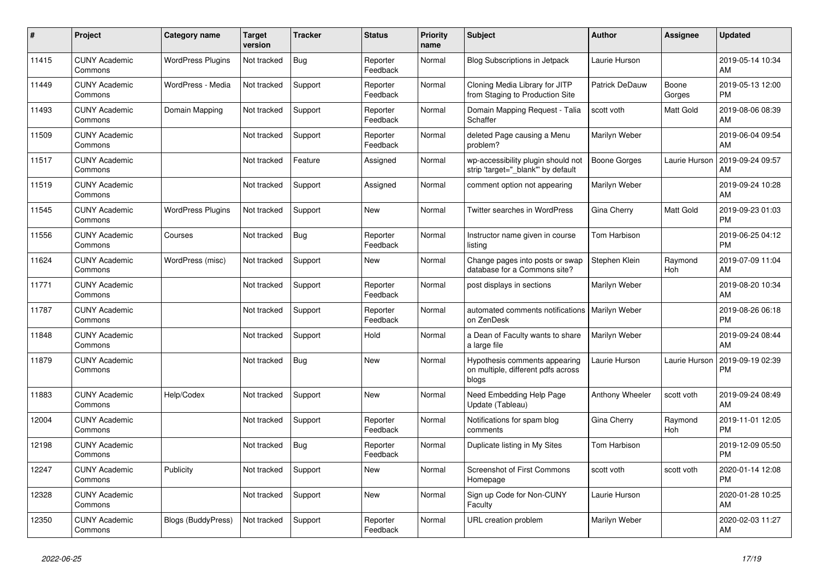| $\vert$ # | <b>Project</b>                  | Category name             | <b>Target</b><br>version | Tracker    | <b>Status</b>        | <b>Priority</b><br>name | <b>Subject</b>                                                               | <b>Author</b>       | Assignee        | <b>Updated</b>                |
|-----------|---------------------------------|---------------------------|--------------------------|------------|----------------------|-------------------------|------------------------------------------------------------------------------|---------------------|-----------------|-------------------------------|
| 11415     | <b>CUNY Academic</b><br>Commons | <b>WordPress Plugins</b>  | Not tracked              | Bug        | Reporter<br>Feedback | Normal                  | <b>Blog Subscriptions in Jetpack</b>                                         | Laurie Hurson       |                 | 2019-05-14 10:34<br>AM        |
| 11449     | <b>CUNY Academic</b><br>Commons | WordPress - Media         | Not tracked              | Support    | Reporter<br>Feedback | Normal                  | Cloning Media Library for JITP<br>from Staging to Production Site            | Patrick DeDauw      | Boone<br>Gorges | 2019-05-13 12:00<br><b>PM</b> |
| 11493     | <b>CUNY Academic</b><br>Commons | Domain Mapping            | Not tracked              | Support    | Reporter<br>Feedback | Normal                  | Domain Mapping Request - Talia<br>Schaffer                                   | scott voth          | Matt Gold       | 2019-08-06 08:39<br>AM        |
| 11509     | <b>CUNY Academic</b><br>Commons |                           | Not tracked              | Support    | Reporter<br>Feedback | Normal                  | deleted Page causing a Menu<br>problem?                                      | Marilyn Weber       |                 | 2019-06-04 09:54<br>AM        |
| 11517     | <b>CUNY Academic</b><br>Commons |                           | Not tracked              | Feature    | Assigned             | Normal                  | wp-accessibility plugin should not<br>strip 'target=" blank" by default      | <b>Boone Gorges</b> | Laurie Hurson   | 2019-09-24 09:57<br>AM        |
| 11519     | <b>CUNY Academic</b><br>Commons |                           | Not tracked              | Support    | Assigned             | Normal                  | comment option not appearing                                                 | Marilyn Weber       |                 | 2019-09-24 10:28<br>AM        |
| 11545     | <b>CUNY Academic</b><br>Commons | <b>WordPress Plugins</b>  | Not tracked              | Support    | New                  | Normal                  | <b>Twitter searches in WordPress</b>                                         | Gina Cherry         | Matt Gold       | 2019-09-23 01:03<br><b>PM</b> |
| 11556     | <b>CUNY Academic</b><br>Commons | Courses                   | Not tracked              | <b>Bug</b> | Reporter<br>Feedback | Normal                  | Instructor name given in course<br>listing                                   | Tom Harbison        |                 | 2019-06-25 04:12<br><b>PM</b> |
| 11624     | <b>CUNY Academic</b><br>Commons | WordPress (misc)          | Not tracked              | Support    | <b>New</b>           | Normal                  | Change pages into posts or swap<br>database for a Commons site?              | Stephen Klein       | Raymond<br>Hoh  | 2019-07-09 11:04<br>AM        |
| 11771     | <b>CUNY Academic</b><br>Commons |                           | Not tracked              | Support    | Reporter<br>Feedback | Normal                  | post displays in sections                                                    | Marilyn Weber       |                 | 2019-08-20 10:34<br>AM        |
| 11787     | <b>CUNY Academic</b><br>Commons |                           | Not tracked              | Support    | Reporter<br>Feedback | Normal                  | automated comments notifications<br>on ZenDesk                               | Marilyn Weber       |                 | 2019-08-26 06:18<br><b>PM</b> |
| 11848     | <b>CUNY Academic</b><br>Commons |                           | Not tracked              | Support    | Hold                 | Normal                  | a Dean of Faculty wants to share<br>a large file                             | Marilyn Weber       |                 | 2019-09-24 08:44<br>AM        |
| 11879     | <b>CUNY Academic</b><br>Commons |                           | Not tracked              | <b>Bug</b> | <b>New</b>           | Normal                  | Hypothesis comments appearing<br>on multiple, different pdfs across<br>blogs | Laurie Hurson       | Laurie Hurson   | 2019-09-19 02:39<br><b>PM</b> |
| 11883     | <b>CUNY Academic</b><br>Commons | Help/Codex                | Not tracked              | Support    | <b>New</b>           | Normal                  | Need Embedding Help Page<br>Update (Tableau)                                 | Anthony Wheeler     | scott voth      | 2019-09-24 08:49<br>AM        |
| 12004     | <b>CUNY Academic</b><br>Commons |                           | Not tracked              | Support    | Reporter<br>Feedback | Normal                  | Notifications for spam blog<br>comments                                      | Gina Cherry         | Raymond<br>Hoh  | 2019-11-01 12:05<br><b>PM</b> |
| 12198     | <b>CUNY Academic</b><br>Commons |                           | Not tracked              | <b>Bug</b> | Reporter<br>Feedback | Normal                  | Duplicate listing in My Sites                                                | Tom Harbison        |                 | 2019-12-09 05:50<br><b>PM</b> |
| 12247     | <b>CUNY Academic</b><br>Commons | Publicity                 | Not tracked              | Support    | New                  | Normal                  | <b>Screenshot of First Commons</b><br>Homepage                               | scott voth          | scott voth      | 2020-01-14 12:08<br><b>PM</b> |
| 12328     | <b>CUNY Academic</b><br>Commons |                           | Not tracked              | Support    | <b>New</b>           | Normal                  | Sign up Code for Non-CUNY<br>Faculty                                         | Laurie Hurson       |                 | 2020-01-28 10:25<br>AM        |
| 12350     | <b>CUNY Academic</b><br>Commons | <b>Blogs (BuddyPress)</b> | Not tracked              | Support    | Reporter<br>Feedback | Normal                  | URL creation problem                                                         | Marilyn Weber       |                 | 2020-02-03 11:27<br>AM        |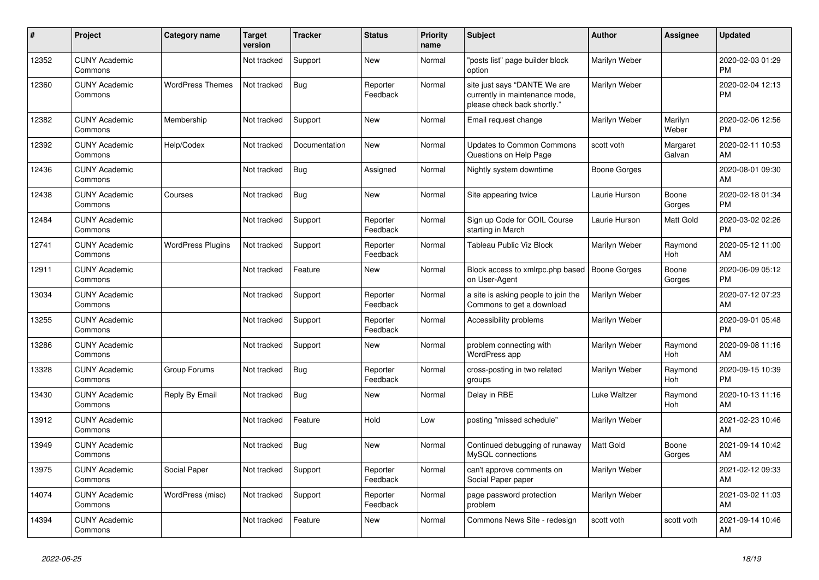| #     | <b>Project</b>                  | Category name            | <b>Target</b><br>version | Tracker       | <b>Status</b>        | <b>Priority</b><br>name | <b>Subject</b>                                                                                | <b>Author</b>       | Assignee              | <b>Updated</b>                |
|-------|---------------------------------|--------------------------|--------------------------|---------------|----------------------|-------------------------|-----------------------------------------------------------------------------------------------|---------------------|-----------------------|-------------------------------|
| 12352 | <b>CUNY Academic</b><br>Commons |                          | Not tracked              | Support       | <b>New</b>           | Normal                  | 'posts list" page builder block<br>option                                                     | Marilyn Weber       |                       | 2020-02-03 01:29<br><b>PM</b> |
| 12360 | <b>CUNY Academic</b><br>Commons | <b>WordPress Themes</b>  | Not tracked              | <b>Bug</b>    | Reporter<br>Feedback | Normal                  | site just says "DANTE We are<br>currently in maintenance mode,<br>please check back shortly." | Marilyn Weber       |                       | 2020-02-04 12:13<br><b>PM</b> |
| 12382 | <b>CUNY Academic</b><br>Commons | Membership               | Not tracked              | Support       | New                  | Normal                  | Email request change                                                                          | Marilyn Weber       | Marilyn<br>Weber      | 2020-02-06 12:56<br><b>PM</b> |
| 12392 | <b>CUNY Academic</b><br>Commons | Help/Codex               | Not tracked              | Documentation | <b>New</b>           | Normal                  | <b>Updates to Common Commons</b><br>Questions on Help Page                                    | scott voth          | Margaret<br>Galvan    | 2020-02-11 10:53<br>AM        |
| 12436 | <b>CUNY Academic</b><br>Commons |                          | Not tracked              | <b>Bug</b>    | Assigned             | Normal                  | Nightly system downtime                                                                       | <b>Boone Gorges</b> |                       | 2020-08-01 09:30<br>AM        |
| 12438 | <b>CUNY Academic</b><br>Commons | Courses                  | Not tracked              | Bug           | New                  | Normal                  | Site appearing twice                                                                          | Laurie Hurson       | Boone<br>Gorges       | 2020-02-18 01:34<br><b>PM</b> |
| 12484 | <b>CUNY Academic</b><br>Commons |                          | Not tracked              | Support       | Reporter<br>Feedback | Normal                  | Sign up Code for COIL Course<br>starting in March                                             | Laurie Hurson       | Matt Gold             | 2020-03-02 02:26<br><b>PM</b> |
| 12741 | <b>CUNY Academic</b><br>Commons | <b>WordPress Plugins</b> | Not tracked              | Support       | Reporter<br>Feedback | Normal                  | Tableau Public Viz Block                                                                      | Marilyn Weber       | Raymond<br>Hoh        | 2020-05-12 11:00<br>AM        |
| 12911 | <b>CUNY Academic</b><br>Commons |                          | Not tracked              | Feature       | New                  | Normal                  | Block access to xmlrpc.php based<br>on User-Agent                                             | <b>Boone Gorges</b> | Boone<br>Gorges       | 2020-06-09 05:12<br><b>PM</b> |
| 13034 | <b>CUNY Academic</b><br>Commons |                          | Not tracked              | Support       | Reporter<br>Feedback | Normal                  | a site is asking people to join the<br>Commons to get a download                              | Marilyn Weber       |                       | 2020-07-12 07:23<br>AM        |
| 13255 | <b>CUNY Academic</b><br>Commons |                          | Not tracked              | Support       | Reporter<br>Feedback | Normal                  | Accessibility problems                                                                        | Marilyn Weber       |                       | 2020-09-01 05:48<br><b>PM</b> |
| 13286 | <b>CUNY Academic</b><br>Commons |                          | Not tracked              | Support       | New                  | Normal                  | problem connecting with<br>WordPress app                                                      | Marilyn Weber       | Raymond<br>Hoh        | 2020-09-08 11:16<br>AM        |
| 13328 | <b>CUNY Academic</b><br>Commons | Group Forums             | Not tracked              | Bug           | Reporter<br>Feedback | Normal                  | cross-posting in two related<br>groups                                                        | Marilyn Weber       | Raymond<br><b>Hoh</b> | 2020-09-15 10:39<br><b>PM</b> |
| 13430 | <b>CUNY Academic</b><br>Commons | Reply By Email           | Not tracked              | <b>Bug</b>    | New                  | Normal                  | Delay in RBE                                                                                  | <b>Luke Waltzer</b> | Raymond<br>Hoh        | 2020-10-13 11:16<br>AM        |
| 13912 | <b>CUNY Academic</b><br>Commons |                          | Not tracked              | Feature       | Hold                 | Low                     | posting "missed schedule"                                                                     | Marilyn Weber       |                       | 2021-02-23 10:46<br>AM        |
| 13949 | <b>CUNY Academic</b><br>Commons |                          | Not tracked              | Bug           | <b>New</b>           | Normal                  | Continued debugging of runaway<br>MySQL connections                                           | Matt Gold           | Boone<br>Gorges       | 2021-09-14 10:42<br>AM        |
| 13975 | <b>CUNY Academic</b><br>Commons | Social Paper             | Not tracked              | Support       | Reporter<br>Feedback | Normal                  | can't approve comments on<br>Social Paper paper                                               | Marilyn Weber       |                       | 2021-02-12 09:33<br>AM        |
| 14074 | <b>CUNY Academic</b><br>Commons | WordPress (misc)         | Not tracked              | Support       | Reporter<br>Feedback | Normal                  | page password protection<br>problem                                                           | Marilyn Weber       |                       | 2021-03-02 11:03<br>AM        |
| 14394 | <b>CUNY Academic</b><br>Commons |                          | Not tracked              | Feature       | <b>New</b>           | Normal                  | Commons News Site - redesign                                                                  | scott voth          | scott voth            | 2021-09-14 10:46<br>AM        |